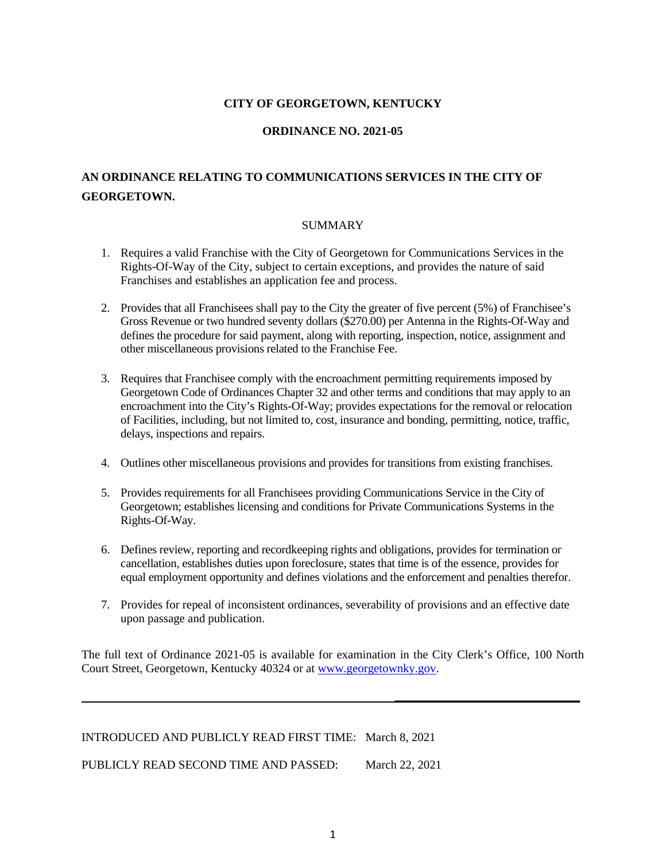## **CITY OF GEORGETOWN, KENTUCKY**

## **ORDINANCE NO. 2021-05**

## **AN ORDINANCE RELATING TO COMMUNICATIONS SERVICES IN THE CITY OF GEORGETOWN.**

#### SUMMARY

- 1. Requires a valid Franchise with the City of Georgetown for Communications Services in the Rights-Of-Way of the City, subject to certain exceptions, and provides the nature of said Franchises and establishes an application fee and process.
- 2. Provides that all Franchisees shall pay to the City the greater of five percent (5%) of Franchisee's Gross Revenue or two hundred seventy dollars (\$270.00) per Antenna in the Rights-Of-Way and defines the procedure for said payment, along with reporting, inspection, notice, assignment and other miscellaneous provisions related to the Franchise Fee.
- 3. Requires that Franchisee comply with the encroachment permitting requirements imposed by Georgetown Code of Ordinances Chapter 32 and other terms and conditions that may apply to an encroachment into the City's Rights-Of-Way; provides expectations for the removal or relocation of Facilities, including, but not limited to, cost, insurance and bonding, permitting, notice, traffic, delays, inspections and repairs.
- 4. Outlines other miscellaneous provisions and provides for transitions from existing franchises.
- 5. Provides requirements for all Franchisees providing Communications Service in the City of Georgetown; establishes licensing and conditions for Private Communications Systems in the Rights-Of-Way.
- 6. Defines review, reporting and recordkeeping rights and obligations, provides for termination or cancellation, establishes duties upon foreclosure, states that time is of the essence, provides for equal employment opportunity and defines violations and the enforcement and penalties therefor.
- 7. Provides for repeal of inconsistent ordinances, severability of provisions and an effective date upon passage and publication.

The full text of Ordinance 2021-05 is available for examination in the City Clerk's Office, 100 North Court Street, Georgetown, Kentucky 40324 or at [www.georgetownky.gov.](http://www.georgetownky.gov/)

**\_\_\_\_\_\_\_\_\_\_\_\_\_\_\_\_\_\_\_\_\_\_\_\_\_\_\_\_\_\_\_**

INTRODUCED AND PUBLICLY READ FIRST TIME: March 8, 2021 PUBLICLY READ SECOND TIME AND PASSED: March 22, 2021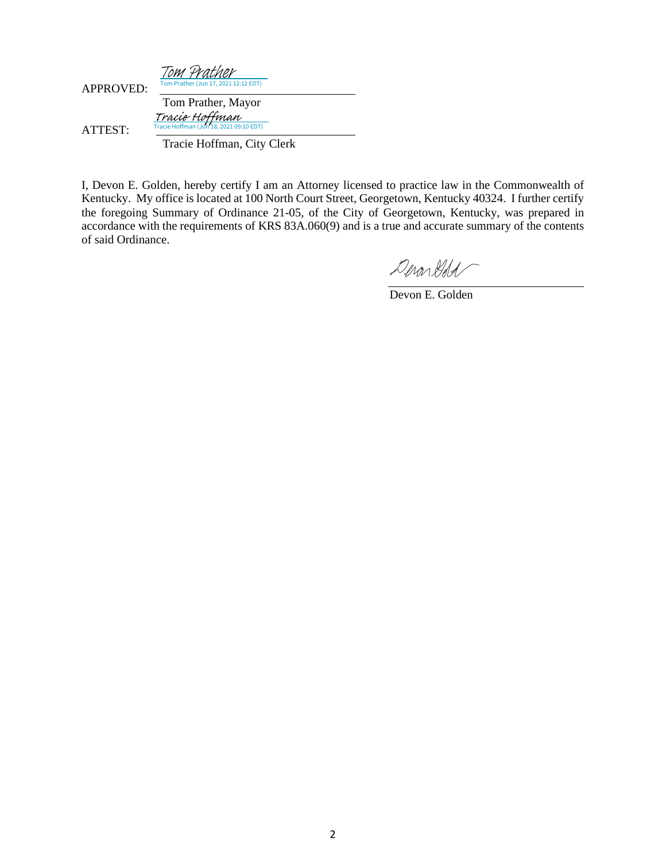| <b>APPROVED:</b> | Tom Prather<br>Tom Prather (Jun 17, 2021 12:12 EDT)       |
|------------------|-----------------------------------------------------------|
|                  | Tom Prather, Mayor                                        |
| ATTEST:          | Tracie Hoffman<br>Tracie Hoffman (Jun 18, 2021 09:10 EDT) |
|                  | Tracie Hoffman, City Clerk                                |

I, Devon E. Golden, hereby certify I am an Attorney licensed to practice law in the Commonwealth of Kentucky. My office is located at 100 North Court Street, Georgetown, Kentucky 40324. I further certify the foregoing Summary of Ordinance 21-05, of the City of Georgetown, Kentucky, was prepared in accordance with the requirements of KRS 83A.060(9) and is a true and accurate summary of the contents of said Ordinance.

DeronGold

Devon E. Golden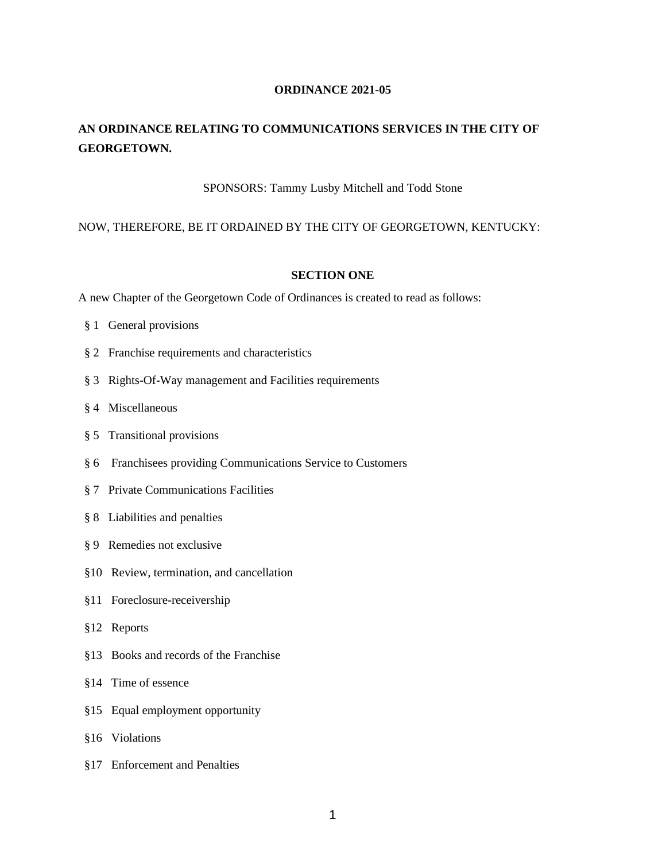## **ORDINANCE 2021-05**

## **AN ORDINANCE RELATING TO COMMUNICATIONS SERVICES IN THE CITY OF GEORGETOWN.**

## SPONSORS: Tammy Lusby Mitchell and Todd Stone

## NOW, THEREFORE, BE IT ORDAINED BY THE CITY OF GEORGETOWN, KENTUCKY:

## **SECTION ONE**

A new Chapter of the Georgetown Code of Ordinances is created to read as follows:

- § 1 General provisions
- § 2 Franchise requirements and characteristics
- § 3 Rights-Of-Way management and Facilities requirements
- § 4 Miscellaneous
- § 5 Transitional provisions
- § 6 Franchisees providing Communications Service to Customers
- § 7 Private Communications Facilities
- § 8 Liabilities and penalties
- § 9 Remedies not exclusive
- §10 Review, termination, and cancellation
- §11 Foreclosure-receivership
- §12 Reports
- §13 Books and records of the Franchise
- §14 Time of essence
- §15 Equal employment opportunity
- §16 Violations
- §17 Enforcement and Penalties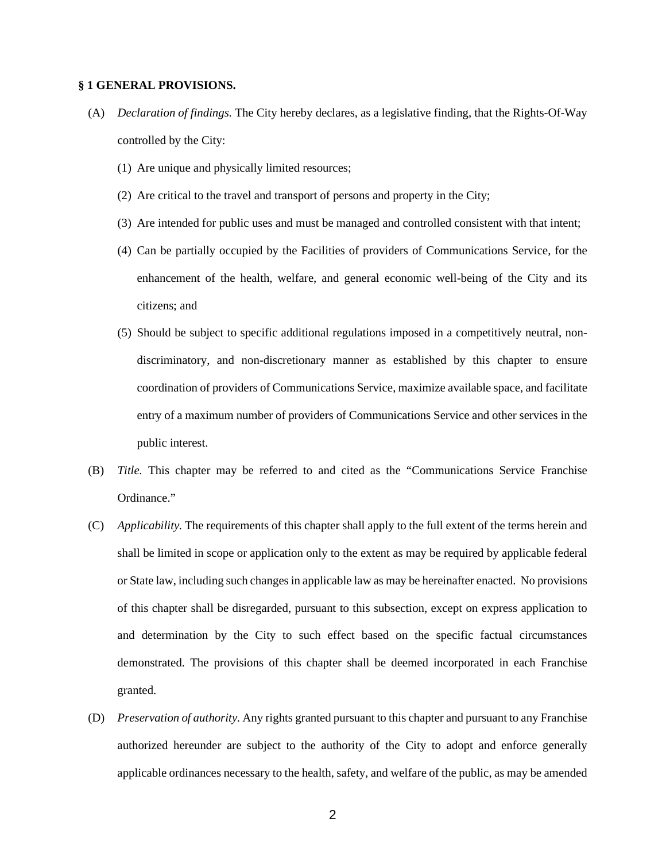#### **§ 1 GENERAL PROVISIONS.**

- (A) *Declaration of findings.* The City hereby declares, as a legislative finding, that the Rights-Of-Way controlled by the City:
	- (1) Are unique and physically limited resources;
	- (2) Are critical to the travel and transport of persons and property in the City;
	- (3) Are intended for public uses and must be managed and controlled consistent with that intent;
	- (4) Can be partially occupied by the Facilities of providers of Communications Service, for the enhancement of the health, welfare, and general economic well-being of the City and its citizens; and
	- (5) Should be subject to specific additional regulations imposed in a competitively neutral, nondiscriminatory, and non-discretionary manner as established by this chapter to ensure coordination of providers of Communications Service, maximize available space, and facilitate entry of a maximum number of providers of Communications Service and other services in the public interest.
- (B) *Title.* This chapter may be referred to and cited as the "Communications Service Franchise Ordinance."
- (C) *Applicability.* The requirements of this chapter shall apply to the full extent of the terms herein and shall be limited in scope or application only to the extent as may be required by applicable federal or State law, including such changes in applicable law as may be hereinafter enacted. No provisions of this chapter shall be disregarded, pursuant to this subsection, except on express application to and determination by the City to such effect based on the specific factual circumstances demonstrated. The provisions of this chapter shall be deemed incorporated in each Franchise granted.
- (D) *Preservation of authority.* Any rights granted pursuant to this chapter and pursuant to any Franchise authorized hereunder are subject to the authority of the City to adopt and enforce generally applicable ordinances necessary to the health, safety, and welfare of the public, as may be amended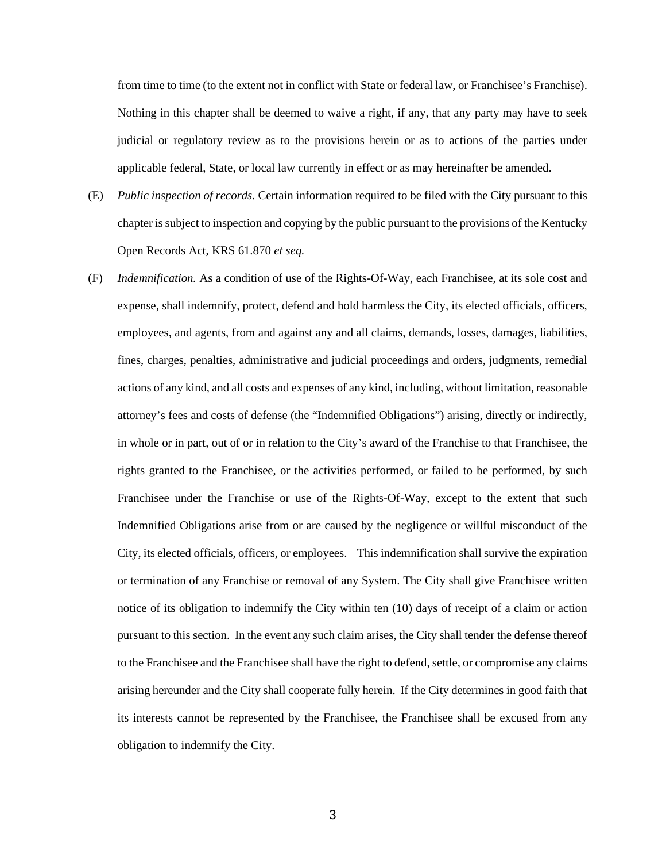from time to time (to the extent not in conflict with State or federal law, or Franchisee's Franchise). Nothing in this chapter shall be deemed to waive a right, if any, that any party may have to seek judicial or regulatory review as to the provisions herein or as to actions of the parties under applicable federal, State, or local law currently in effect or as may hereinafter be amended.

- (E) *Public inspection of records.* Certain information required to be filed with the City pursuant to this chapter is subject to inspection and copying by the public pursuant to the provisions of the Kentucky Open Records Act, KRS 61.870 *et seq.*
- (F) *Indemnification.* As a condition of use of the Rights-Of-Way, each Franchisee, at its sole cost and expense, shall indemnify, protect, defend and hold harmless the City, its elected officials, officers, employees, and agents, from and against any and all claims, demands, losses, damages, liabilities, fines, charges, penalties, administrative and judicial proceedings and orders, judgments, remedial actions of any kind, and all costs and expenses of any kind, including, without limitation, reasonable attorney's fees and costs of defense (the "Indemnified Obligations") arising, directly or indirectly, in whole or in part, out of or in relation to the City's award of the Franchise to that Franchisee, the rights granted to the Franchisee, or the activities performed, or failed to be performed, by such Franchisee under the Franchise or use of the Rights-Of-Way, except to the extent that such Indemnified Obligations arise from or are caused by the negligence or willful misconduct of the City, its elected officials, officers, or employees. This indemnification shall survive the expiration or termination of any Franchise or removal of any System. The City shall give Franchisee written notice of its obligation to indemnify the City within ten (10) days of receipt of a claim or action pursuant to this section. In the event any such claim arises, the City shall tender the defense thereof to the Franchisee and the Franchisee shall have the right to defend, settle, or compromise any claims arising hereunder and the City shall cooperate fully herein. If the City determines in good faith that its interests cannot be represented by the Franchisee, the Franchisee shall be excused from any obligation to indemnify the City.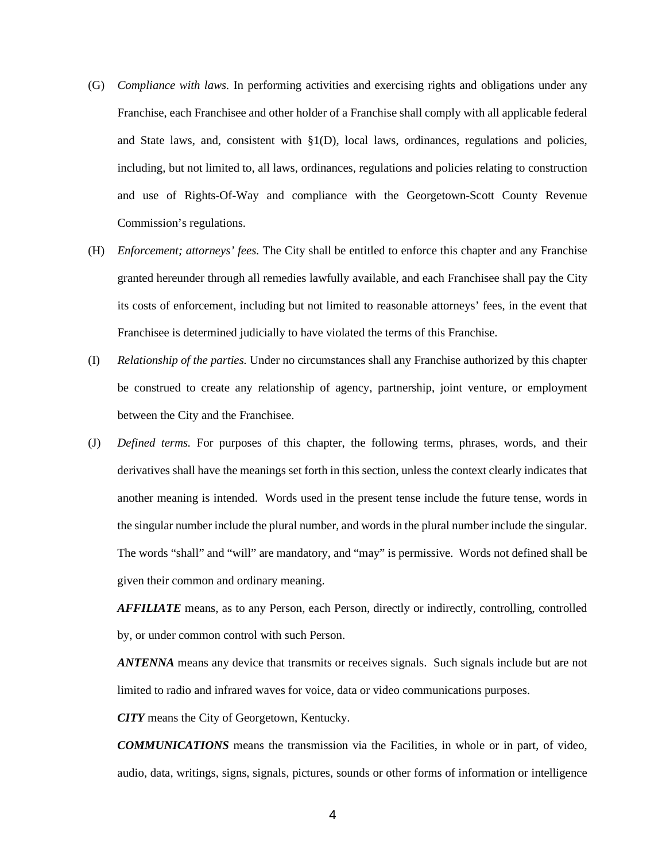- (G) *Compliance with laws.* In performing activities and exercising rights and obligations under any Franchise, each Franchisee and other holder of a Franchise shall comply with all applicable federal and State laws, and, consistent with  $\S1(D)$ , local laws, ordinances, regulations and policies, including, but not limited to, all laws, ordinances, regulations and policies relating to construction and use of Rights-Of-Way and compliance with the Georgetown-Scott County Revenue Commission's regulations.
- (H) *Enforcement; attorneys' fees.* The City shall be entitled to enforce this chapter and any Franchise granted hereunder through all remedies lawfully available, and each Franchisee shall pay the City its costs of enforcement, including but not limited to reasonable attorneys' fees, in the event that Franchisee is determined judicially to have violated the terms of this Franchise.
- (I) *Relationship of the parties.* Under no circumstances shall any Franchise authorized by this chapter be construed to create any relationship of agency, partnership, joint venture, or employment between the City and the Franchisee.
- (J) *Defined terms.* For purposes of this chapter, the following terms, phrases, words, and their derivatives shall have the meanings set forth in this section, unless the context clearly indicates that another meaning is intended. Words used in the present tense include the future tense, words in the singular number include the plural number, and words in the plural number include the singular. The words "shall" and "will" are mandatory, and "may" is permissive. Words not defined shall be given their common and ordinary meaning.

*AFFILIATE* means, as to any Person, each Person, directly or indirectly, controlling, controlled by, or under common control with such Person.

*ANTENNA* means any device that transmits or receives signals. Such signals include but are not limited to radio and infrared waves for voice, data or video communications purposes.

*CITY* means the City of Georgetown, Kentucky.

*COMMUNICATIONS* means the transmission via the Facilities, in whole or in part, of video, audio, data, writings, signs, signals, pictures, sounds or other forms of information or intelligence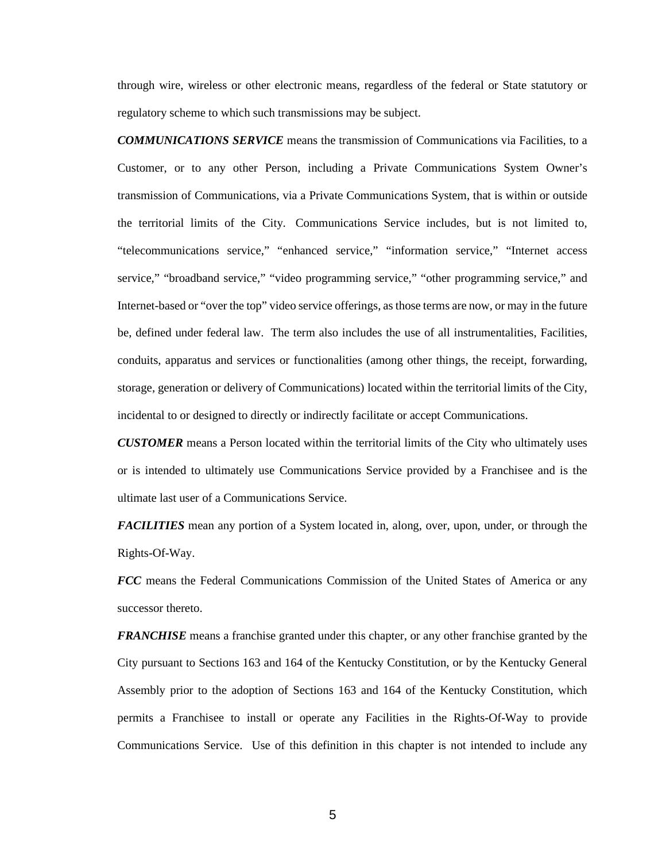through wire, wireless or other electronic means, regardless of the federal or State statutory or regulatory scheme to which such transmissions may be subject.

*COMMUNICATIONS SERVICE* means the transmission of Communications via Facilities, to a Customer, or to any other Person, including a Private Communications System Owner's transmission of Communications, via a Private Communications System, that is within or outside the territorial limits of the City. Communications Service includes, but is not limited to, "telecommunications service," "enhanced service," "information service," "Internet access service," "broadband service," "video programming service," "other programming service," and Internet-based or "over the top" video service offerings, as those terms are now, or may in the future be, defined under federal law. The term also includes the use of all instrumentalities, Facilities, conduits, apparatus and services or functionalities (among other things, the receipt, forwarding, storage, generation or delivery of Communications) located within the territorial limits of the City, incidental to or designed to directly or indirectly facilitate or accept Communications.

*CUSTOMER* means a Person located within the territorial limits of the City who ultimately uses or is intended to ultimately use Communications Service provided by a Franchisee and is the ultimate last user of a Communications Service.

*FACILITIES* mean any portion of a System located in, along, over, upon, under, or through the Rights-Of-Way.

*FCC* means the Federal Communications Commission of the United States of America or any successor thereto.

*FRANCHISE* means a franchise granted under this chapter, or any other franchise granted by the City pursuant to Sections 163 and 164 of the Kentucky Constitution, or by the Kentucky General Assembly prior to the adoption of Sections 163 and 164 of the Kentucky Constitution, which permits a Franchisee to install or operate any Facilities in the Rights-Of-Way to provide Communications Service. Use of this definition in this chapter is not intended to include any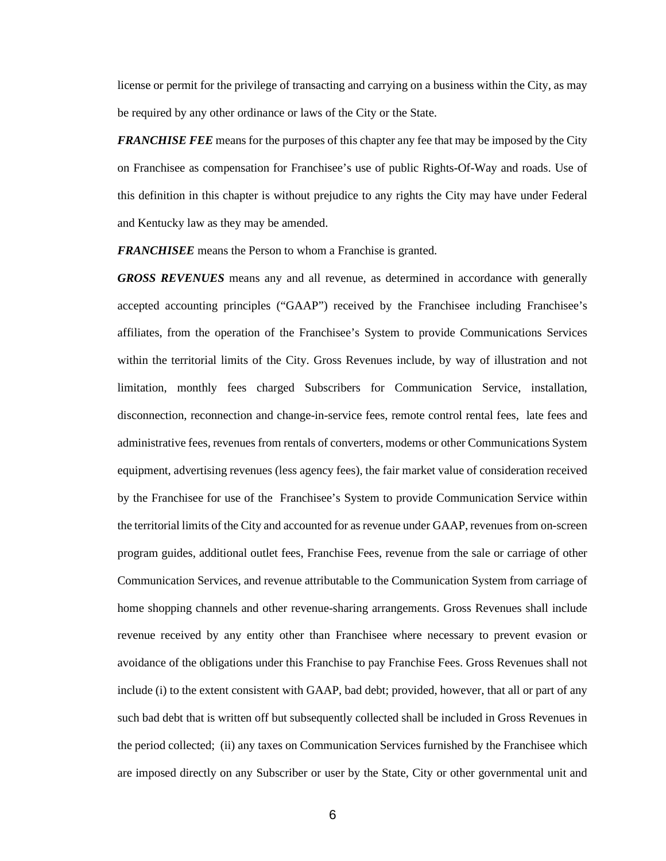license or permit for the privilege of transacting and carrying on a business within the City, as may be required by any other ordinance or laws of the City or the State.

*FRANCHISE FEE* means for the purposes of this chapter any fee that may be imposed by the City on Franchisee as compensation for Franchisee's use of public Rights-Of-Way and roads. Use of this definition in this chapter is without prejudice to any rights the City may have under Federal and Kentucky law as they may be amended.

*FRANCHISEE* means the Person to whom a Franchise is granted.

*GROSS REVENUES* means any and all revenue, as determined in accordance with generally accepted accounting principles ("GAAP") received by the Franchisee including Franchisee's affiliates, from the operation of the Franchisee's System to provide Communications Services within the territorial limits of the City. Gross Revenues include, by way of illustration and not limitation, monthly fees charged Subscribers for Communication Service, installation, disconnection, reconnection and change-in-service fees, remote control rental fees, late fees and administrative fees, revenues from rentals of converters, modems or other Communications System equipment, advertising revenues (less agency fees), the fair market value of consideration received by the Franchisee for use of the Franchisee's System to provide Communication Service within the territorial limits of the City and accounted for as revenue under GAAP, revenues from on-screen program guides, additional outlet fees, Franchise Fees, revenue from the sale or carriage of other Communication Services, and revenue attributable to the Communication System from carriage of home shopping channels and other revenue-sharing arrangements. Gross Revenues shall include revenue received by any entity other than Franchisee where necessary to prevent evasion or avoidance of the obligations under this Franchise to pay Franchise Fees. Gross Revenues shall not include (i) to the extent consistent with GAAP, bad debt; provided, however, that all or part of any such bad debt that is written off but subsequently collected shall be included in Gross Revenues in the period collected; (ii) any taxes on Communication Services furnished by the Franchisee which are imposed directly on any Subscriber or user by the State, City or other governmental unit and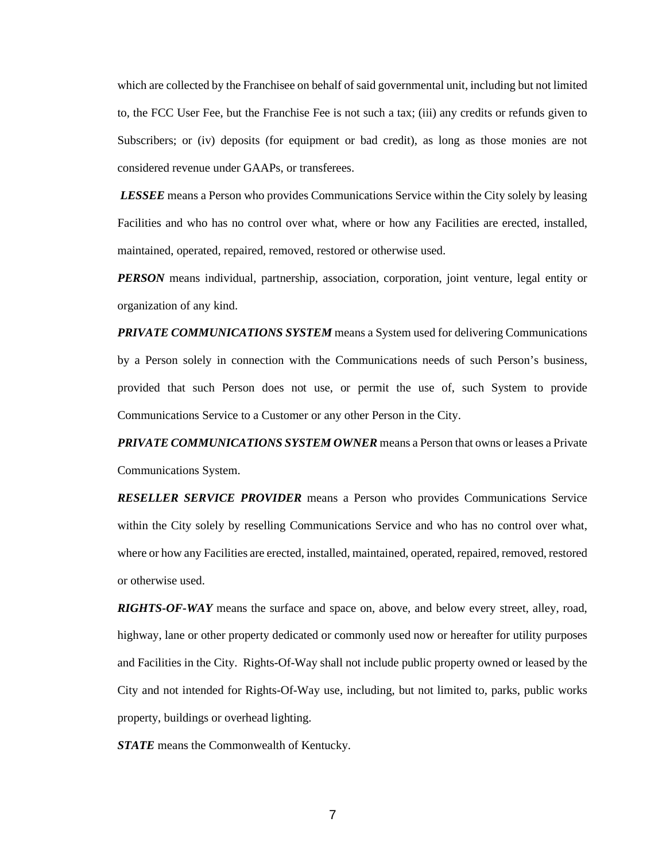which are collected by the Franchisee on behalf of said governmental unit, including but not limited to, the FCC User Fee, but the Franchise Fee is not such a tax; (iii) any credits or refunds given to Subscribers; or (iv) deposits (for equipment or bad credit), as long as those monies are not considered revenue under GAAPs, or transferees.

*LESSEE* means a Person who provides Communications Service within the City solely by leasing Facilities and who has no control over what, where or how any Facilities are erected, installed, maintained, operated, repaired, removed, restored or otherwise used.

*PERSON* means individual, partnership, association, corporation, joint venture, legal entity or organization of any kind.

*PRIVATE COMMUNICATIONS SYSTEM* means a System used for delivering Communications by a Person solely in connection with the Communications needs of such Person's business, provided that such Person does not use, or permit the use of, such System to provide Communications Service to a Customer or any other Person in the City.

*PRIVATE COMMUNICATIONS SYSTEM OWNER* means a Person that owns or leases a Private Communications System.

*RESELLER SERVICE PROVIDER* means a Person who provides Communications Service within the City solely by reselling Communications Service and who has no control over what, where or how any Facilities are erected, installed, maintained, operated, repaired, removed, restored or otherwise used.

*RIGHTS-OF-WAY* means the surface and space on, above, and below every street, alley, road, highway, lane or other property dedicated or commonly used now or hereafter for utility purposes and Facilities in the City. Rights-Of-Way shall not include public property owned or leased by the City and not intended for Rights-Of-Way use, including, but not limited to, parks, public works property, buildings or overhead lighting.

*STATE* means the Commonwealth of Kentucky.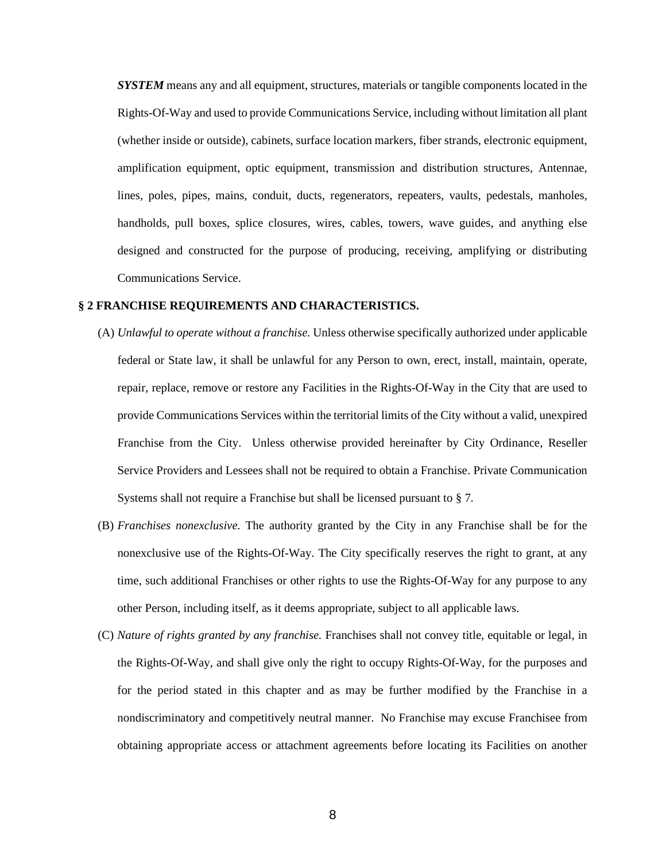*SYSTEM* means any and all equipment, structures, materials or tangible components located in the Rights-Of-Way and used to provide Communications Service, including without limitation all plant (whether inside or outside), cabinets, surface location markers, fiber strands, electronic equipment, amplification equipment, optic equipment, transmission and distribution structures, Antennae, lines, poles, pipes, mains, conduit, ducts, regenerators, repeaters, vaults, pedestals, manholes, handholds, pull boxes, splice closures, wires, cables, towers, wave guides, and anything else designed and constructed for the purpose of producing, receiving, amplifying or distributing Communications Service.

## **§ 2 FRANCHISE REQUIREMENTS AND CHARACTERISTICS.**

- (A) *Unlawful to operate without a franchise.* Unless otherwise specifically authorized under applicable federal or State law, it shall be unlawful for any Person to own, erect, install, maintain, operate, repair, replace, remove or restore any Facilities in the Rights-Of-Way in the City that are used to provide Communications Services within the territorial limits of the City without a valid, unexpired Franchise from the City. Unless otherwise provided hereinafter by City Ordinance, Reseller Service Providers and Lessees shall not be required to obtain a Franchise. Private Communication Systems shall not require a Franchise but shall be licensed pursuant to § 7.
- (B) *Franchises nonexclusive.* The authority granted by the City in any Franchise shall be for the nonexclusive use of the Rights-Of-Way. The City specifically reserves the right to grant, at any time, such additional Franchises or other rights to use the Rights-Of-Way for any purpose to any other Person, including itself, as it deems appropriate, subject to all applicable laws.
- (C) *Nature of rights granted by any franchise.* Franchises shall not convey title, equitable or legal, in the Rights-Of-Way, and shall give only the right to occupy Rights-Of-Way, for the purposes and for the period stated in this chapter and as may be further modified by the Franchise in a nondiscriminatory and competitively neutral manner. No Franchise may excuse Franchisee from obtaining appropriate access or attachment agreements before locating its Facilities on another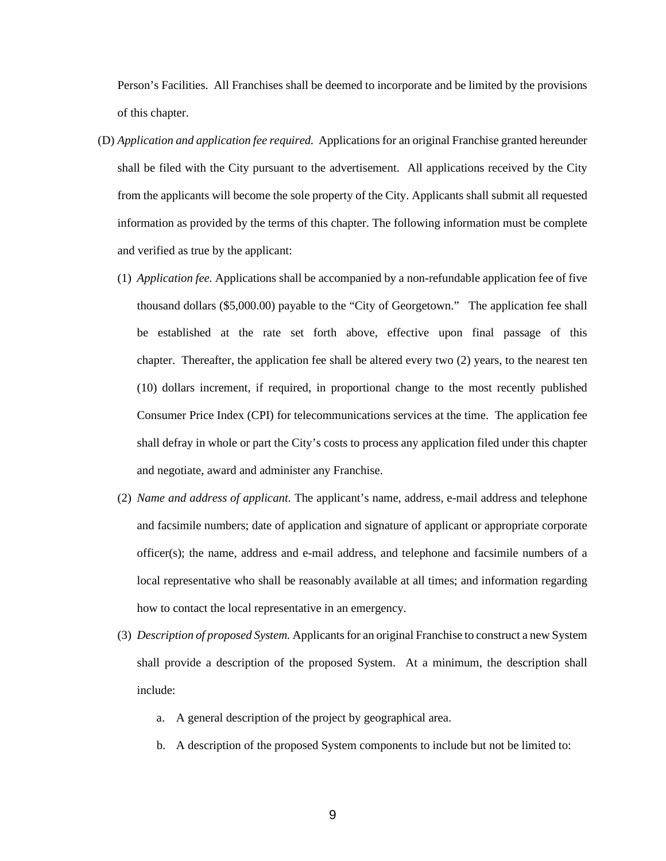Person's Facilities. All Franchises shall be deemed to incorporate and be limited by the provisions of this chapter.

- (D) *Application and application fee required.* Applications for an original Franchise granted hereunder shall be filed with the City pursuant to the advertisement. All applications received by the City from the applicants will become the sole property of the City. Applicants shall submit all requested information as provided by the terms of this chapter. The following information must be complete and verified as true by the applicant:
	- (1) *Application fee.* Applications shall be accompanied by a non-refundable application fee of five thousand dollars (\$5,000.00) payable to the "City of Georgetown." The application fee shall be established at the rate set forth above, effective upon final passage of this chapter. Thereafter, the application fee shall be altered every two (2) years, to the nearest ten (10) dollars increment, if required, in proportional change to the most recently published Consumer Price Index (CPI) for telecommunications services at the time. The application fee shall defray in whole or part the City's costs to process any application filed under this chapter and negotiate, award and administer any Franchise.
	- (2) *Name and address of applicant.* The applicant's name, address, e-mail address and telephone and facsimile numbers; date of application and signature of applicant or appropriate corporate officer(s); the name, address and e-mail address, and telephone and facsimile numbers of a local representative who shall be reasonably available at all times; and information regarding how to contact the local representative in an emergency.
	- (3) *Description of proposed System.* Applicants for an original Franchise to construct a new System shall provide a description of the proposed System. At a minimum, the description shall include:
		- a. A general description of the project by geographical area.
		- b. A description of the proposed System components to include but not be limited to: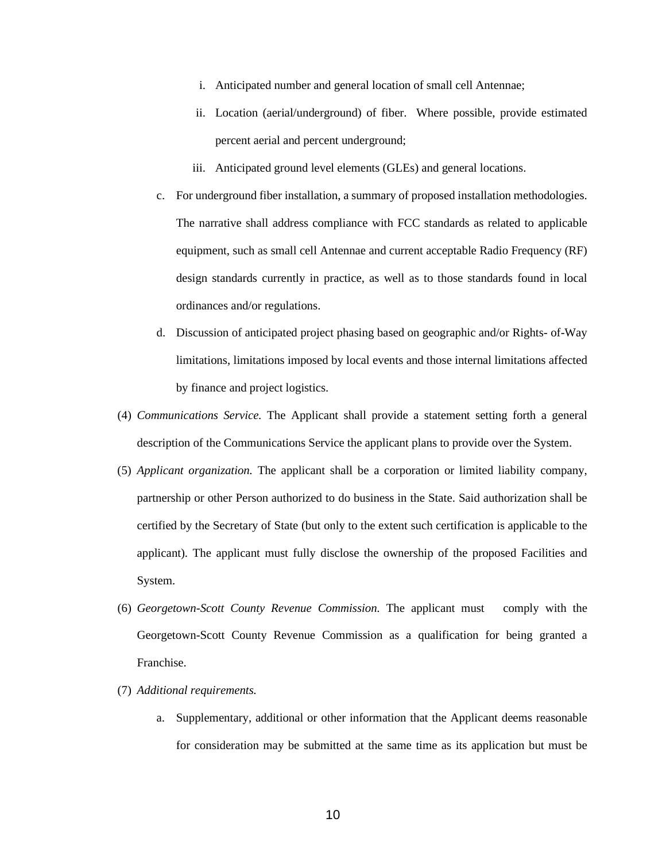- i. Anticipated number and general location of small cell Antennae;
- ii. Location (aerial/underground) of fiber. Where possible, provide estimated percent aerial and percent underground;
- iii. Anticipated ground level elements (GLEs) and general locations.
- c. For underground fiber installation, a summary of proposed installation methodologies. The narrative shall address compliance with FCC standards as related to applicable equipment, such as small cell Antennae and current acceptable Radio Frequency (RF) design standards currently in practice, as well as to those standards found in local ordinances and/or regulations.
- d. Discussion of anticipated project phasing based on geographic and/or Rights- of-Way limitations, limitations imposed by local events and those internal limitations affected by finance and project logistics.
- (4) *Communications Service.* The Applicant shall provide a statement setting forth a general description of the Communications Service the applicant plans to provide over the System.
- (5) *Applicant organization.* The applicant shall be a corporation or limited liability company, partnership or other Person authorized to do business in the State. Said authorization shall be certified by the Secretary of State (but only to the extent such certification is applicable to the applicant). The applicant must fully disclose the ownership of the proposed Facilities and System.
- (6) *Georgetown-Scott County Revenue Commission.* The applicant must comply with the Georgetown-Scott County Revenue Commission as a qualification for being granted a Franchise.
- (7) *Additional requirements.*
	- a. Supplementary, additional or other information that the Applicant deems reasonable for consideration may be submitted at the same time as its application but must be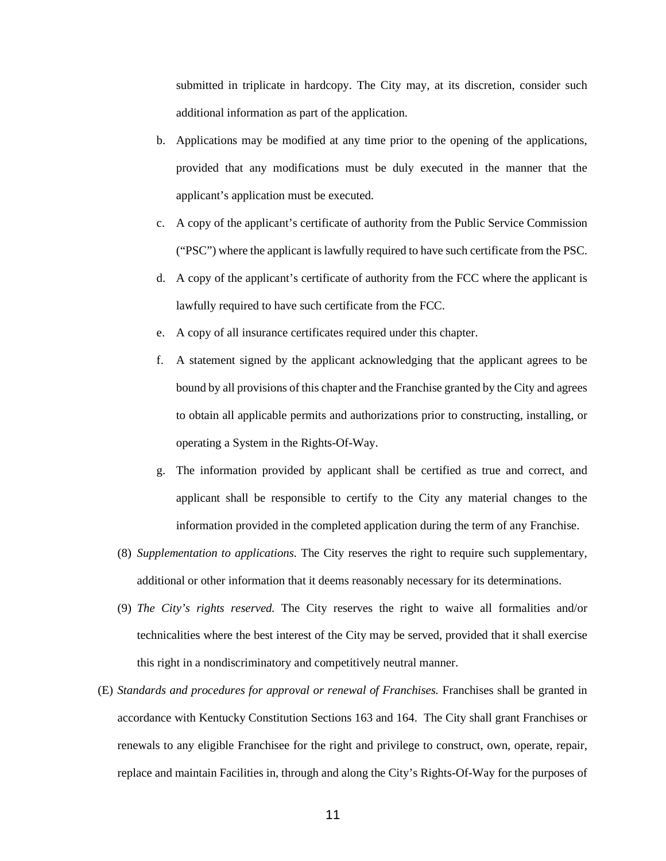submitted in triplicate in hardcopy. The City may, at its discretion, consider such additional information as part of the application.

- b. Applications may be modified at any time prior to the opening of the applications, provided that any modifications must be duly executed in the manner that the applicant's application must be executed.
- c. A copy of the applicant's certificate of authority from the Public Service Commission ("PSC") where the applicant is lawfully required to have such certificate from the PSC.
- d. A copy of the applicant's certificate of authority from the FCC where the applicant is lawfully required to have such certificate from the FCC.
- e. A copy of all insurance certificates required under this chapter.
- f. A statement signed by the applicant acknowledging that the applicant agrees to be bound by all provisions of this chapter and the Franchise granted by the City and agrees to obtain all applicable permits and authorizations prior to constructing, installing, or operating a System in the Rights-Of-Way.
- g. The information provided by applicant shall be certified as true and correct, and applicant shall be responsible to certify to the City any material changes to the information provided in the completed application during the term of any Franchise.
- (8) *Supplementation to applications.* The City reserves the right to require such supplementary, additional or other information that it deems reasonably necessary for its determinations.
- (9) *The City's rights reserved.* The City reserves the right to waive all formalities and/or technicalities where the best interest of the City may be served, provided that it shall exercise this right in a nondiscriminatory and competitively neutral manner.
- (E) *Standards and procedures for approval or renewal of Franchises.* Franchises shall be granted in accordance with Kentucky Constitution Sections 163 and 164. The City shall grant Franchises or renewals to any eligible Franchisee for the right and privilege to construct, own, operate, repair, replace and maintain Facilities in, through and along the City's Rights-Of-Way for the purposes of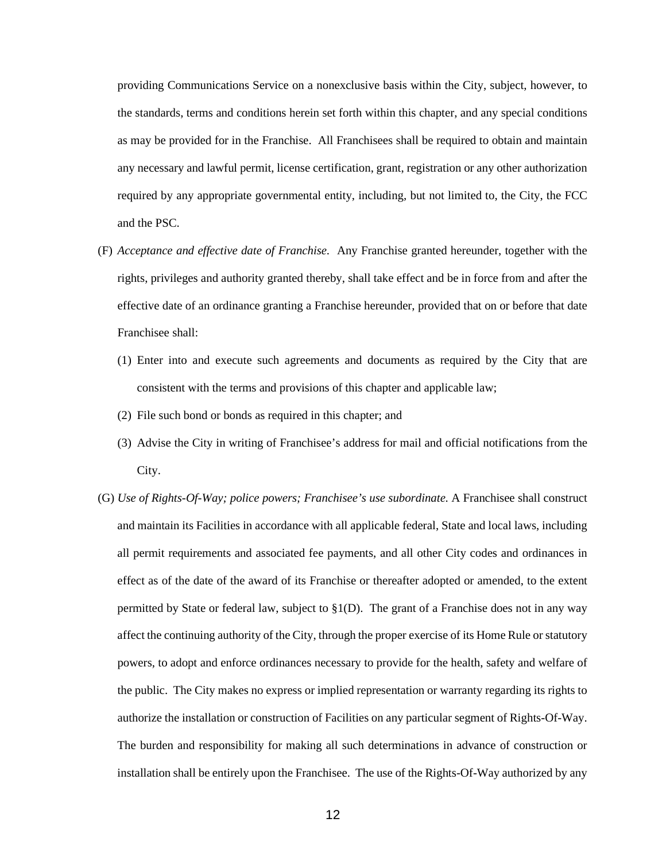providing Communications Service on a nonexclusive basis within the City, subject, however, to the standards, terms and conditions herein set forth within this chapter, and any special conditions as may be provided for in the Franchise. All Franchisees shall be required to obtain and maintain any necessary and lawful permit, license certification, grant, registration or any other authorization required by any appropriate governmental entity, including, but not limited to, the City, the FCC and the PSC.

- (F) *Acceptance and effective date of Franchise.* Any Franchise granted hereunder, together with the rights, privileges and authority granted thereby, shall take effect and be in force from and after the effective date of an ordinance granting a Franchise hereunder, provided that on or before that date Franchisee shall:
	- (1) Enter into and execute such agreements and documents as required by the City that are consistent with the terms and provisions of this chapter and applicable law;
	- (2) File such bond or bonds as required in this chapter; and
	- (3) Advise the City in writing of Franchisee's address for mail and official notifications from the City.
- (G) *Use of Rights-Of-Way; police powers; Franchisee's use subordinate.* A Franchisee shall construct and maintain its Facilities in accordance with all applicable federal, State and local laws, including all permit requirements and associated fee payments, and all other City codes and ordinances in effect as of the date of the award of its Franchise or thereafter adopted or amended, to the extent permitted by State or federal law, subject to  $\S1(D)$ . The grant of a Franchise does not in any way affect the continuing authority of the City, through the proper exercise of its Home Rule or statutory powers, to adopt and enforce ordinances necessary to provide for the health, safety and welfare of the public. The City makes no express or implied representation or warranty regarding its rights to authorize the installation or construction of Facilities on any particular segment of Rights-Of-Way. The burden and responsibility for making all such determinations in advance of construction or installation shall be entirely upon the Franchisee. The use of the Rights-Of-Way authorized by any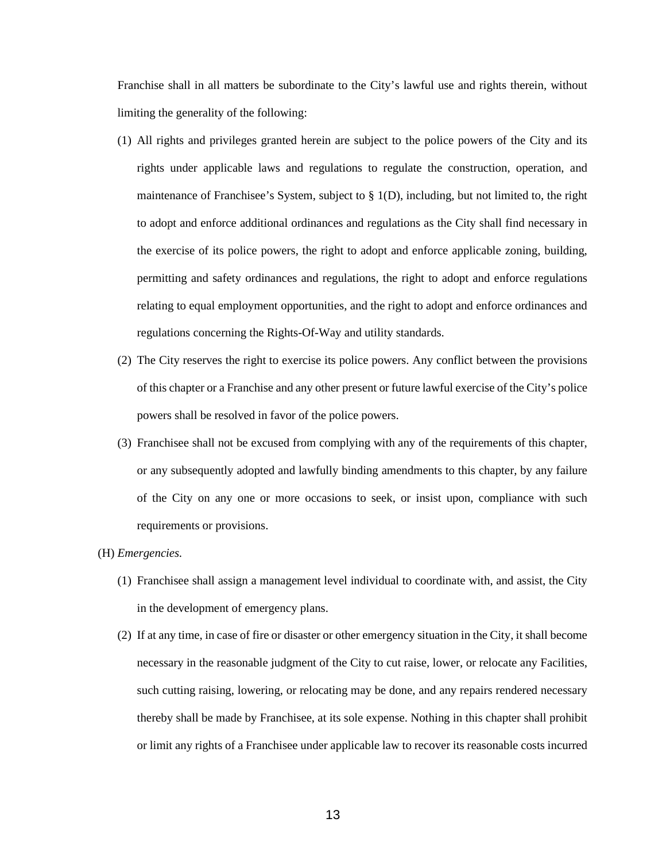Franchise shall in all matters be subordinate to the City's lawful use and rights therein, without limiting the generality of the following:

- (1) All rights and privileges granted herein are subject to the police powers of the City and its rights under applicable laws and regulations to regulate the construction, operation, and maintenance of Franchisee's System, subject to  $\S$  1(D), including, but not limited to, the right to adopt and enforce additional ordinances and regulations as the City shall find necessary in the exercise of its police powers, the right to adopt and enforce applicable zoning, building, permitting and safety ordinances and regulations, the right to adopt and enforce regulations relating to equal employment opportunities, and the right to adopt and enforce ordinances and regulations concerning the Rights-Of-Way and utility standards.
- (2) The City reserves the right to exercise its police powers. Any conflict between the provisions of this chapter or a Franchise and any other present or future lawful exercise of the City's police powers shall be resolved in favor of the police powers.
- (3) Franchisee shall not be excused from complying with any of the requirements of this chapter, or any subsequently adopted and lawfully binding amendments to this chapter, by any failure of the City on any one or more occasions to seek, or insist upon, compliance with such requirements or provisions.

#### (H) *Emergencies.*

- (1) Franchisee shall assign a management level individual to coordinate with, and assist, the City in the development of emergency plans.
- (2) If at any time, in case of fire or disaster or other emergency situation in the City, it shall become necessary in the reasonable judgment of the City to cut raise, lower, or relocate any Facilities, such cutting raising, lowering, or relocating may be done, and any repairs rendered necessary thereby shall be made by Franchisee, at its sole expense. Nothing in this chapter shall prohibit or limit any rights of a Franchisee under applicable law to recover its reasonable costs incurred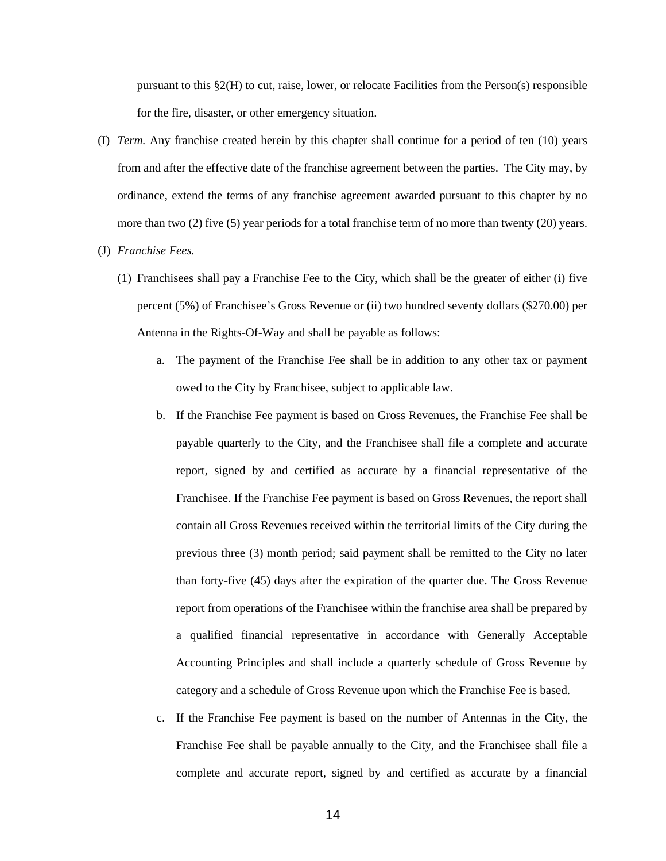pursuant to this §2(H) to cut, raise, lower, or relocate Facilities from the Person(s) responsible for the fire, disaster, or other emergency situation.

- (I) *Term.* Any franchise created herein by this chapter shall continue for a period of ten (10) years from and after the effective date of the franchise agreement between the parties. The City may, by ordinance, extend the terms of any franchise agreement awarded pursuant to this chapter by no more than two (2) five (5) year periods for a total franchise term of no more than twenty (20) years.
- (J) *Franchise Fees.*
	- (1) Franchisees shall pay a Franchise Fee to the City, which shall be the greater of either (i) five percent (5%) of Franchisee's Gross Revenue or (ii) two hundred seventy dollars (\$270.00) per Antenna in the Rights-Of-Way and shall be payable as follows:
		- a. The payment of the Franchise Fee shall be in addition to any other tax or payment owed to the City by Franchisee, subject to applicable law.
		- b. If the Franchise Fee payment is based on Gross Revenues, the Franchise Fee shall be payable quarterly to the City, and the Franchisee shall file a complete and accurate report, signed by and certified as accurate by a financial representative of the Franchisee. If the Franchise Fee payment is based on Gross Revenues, the report shall contain all Gross Revenues received within the territorial limits of the City during the previous three (3) month period; said payment shall be remitted to the City no later than forty-five (45) days after the expiration of the quarter due. The Gross Revenue report from operations of the Franchisee within the franchise area shall be prepared by a qualified financial representative in accordance with Generally Acceptable Accounting Principles and shall include a quarterly schedule of Gross Revenue by category and a schedule of Gross Revenue upon which the Franchise Fee is based.
		- c. If the Franchise Fee payment is based on the number of Antennas in the City, the Franchise Fee shall be payable annually to the City, and the Franchisee shall file a complete and accurate report, signed by and certified as accurate by a financial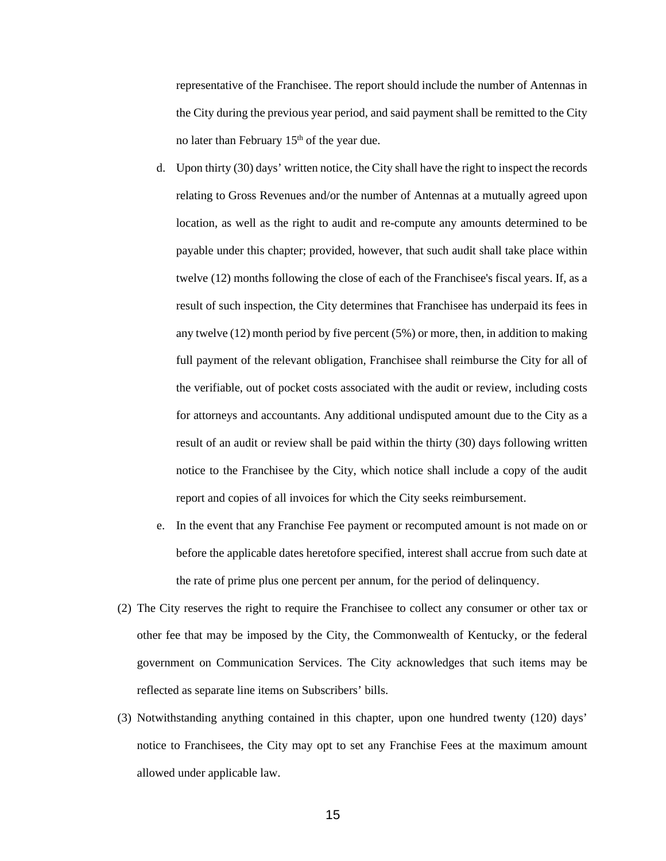representative of the Franchisee. The report should include the number of Antennas in the City during the previous year period, and said payment shall be remitted to the City no later than February  $15<sup>th</sup>$  of the year due.

- d. Upon thirty (30) days' written notice, the City shall have the right to inspect the records relating to Gross Revenues and/or the number of Antennas at a mutually agreed upon location, as well as the right to audit and re-compute any amounts determined to be payable under this chapter; provided, however, that such audit shall take place within twelve (12) months following the close of each of the Franchisee's fiscal years. If, as a result of such inspection, the City determines that Franchisee has underpaid its fees in any twelve (12) month period by five percent (5%) or more, then, in addition to making full payment of the relevant obligation, Franchisee shall reimburse the City for all of the verifiable, out of pocket costs associated with the audit or review, including costs for attorneys and accountants. Any additional undisputed amount due to the City as a result of an audit or review shall be paid within the thirty (30) days following written notice to the Franchisee by the City, which notice shall include a copy of the audit report and copies of all invoices for which the City seeks reimbursement.
- e. In the event that any Franchise Fee payment or recomputed amount is not made on or before the applicable dates heretofore specified, interest shall accrue from such date at the rate of prime plus one percent per annum, for the period of delinquency.
- (2) The City reserves the right to require the Franchisee to collect any consumer or other tax or other fee that may be imposed by the City, the Commonwealth of Kentucky, or the federal government on Communication Services. The City acknowledges that such items may be reflected as separate line items on Subscribers' bills.
- (3) Notwithstanding anything contained in this chapter, upon one hundred twenty (120) days' notice to Franchisees, the City may opt to set any Franchise Fees at the maximum amount allowed under applicable law.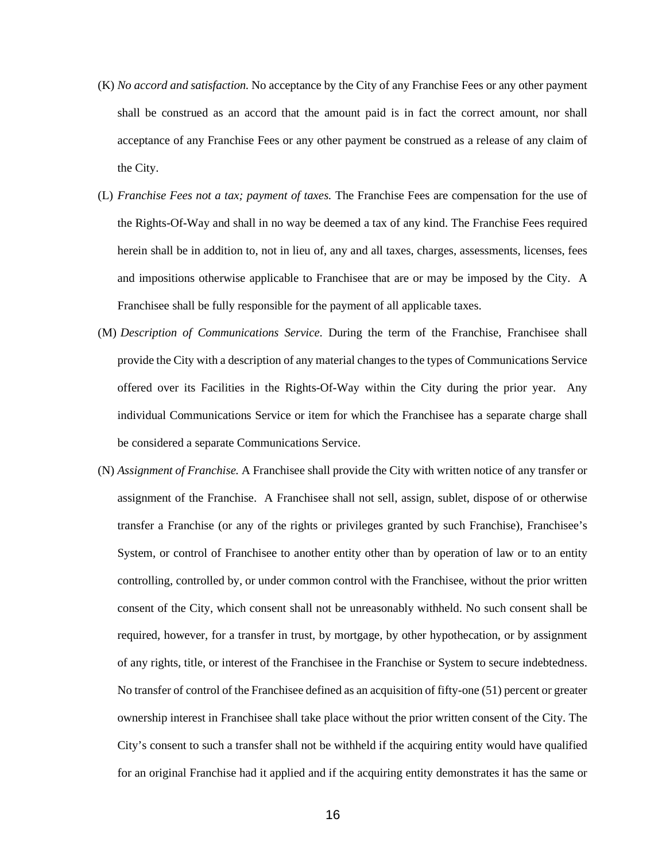- (K) *No accord and satisfaction.* No acceptance by the City of any Franchise Fees or any other payment shall be construed as an accord that the amount paid is in fact the correct amount, nor shall acceptance of any Franchise Fees or any other payment be construed as a release of any claim of the City.
- (L) *Franchise Fees not a tax; payment of taxes.* The Franchise Fees are compensation for the use of the Rights-Of-Way and shall in no way be deemed a tax of any kind. The Franchise Fees required herein shall be in addition to, not in lieu of, any and all taxes, charges, assessments, licenses, fees and impositions otherwise applicable to Franchisee that are or may be imposed by the City. A Franchisee shall be fully responsible for the payment of all applicable taxes.
- (M) *Description of Communications Service.* During the term of the Franchise, Franchisee shall provide the City with a description of any material changes to the types of Communications Service offered over its Facilities in the Rights-Of-Way within the City during the prior year. Any individual Communications Service or item for which the Franchisee has a separate charge shall be considered a separate Communications Service.
- (N) *Assignment of Franchise.* A Franchisee shall provide the City with written notice of any transfer or assignment of the Franchise. A Franchisee shall not sell, assign, sublet, dispose of or otherwise transfer a Franchise (or any of the rights or privileges granted by such Franchise), Franchisee's System, or control of Franchisee to another entity other than by operation of law or to an entity controlling, controlled by, or under common control with the Franchisee, without the prior written consent of the City, which consent shall not be unreasonably withheld. No such consent shall be required, however, for a transfer in trust, by mortgage, by other hypothecation, or by assignment of any rights, title, or interest of the Franchisee in the Franchise or System to secure indebtedness. No transfer of control of the Franchisee defined as an acquisition of fifty-one (51) percent or greater ownership interest in Franchisee shall take place without the prior written consent of the City. The City's consent to such a transfer shall not be withheld if the acquiring entity would have qualified for an original Franchise had it applied and if the acquiring entity demonstrates it has the same or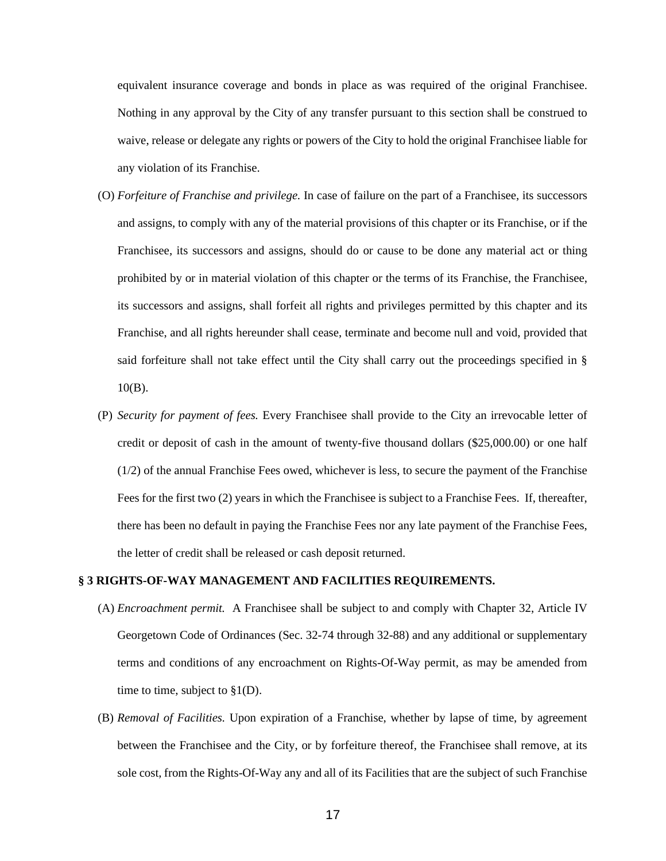equivalent insurance coverage and bonds in place as was required of the original Franchisee. Nothing in any approval by the City of any transfer pursuant to this section shall be construed to waive, release or delegate any rights or powers of the City to hold the original Franchisee liable for any violation of its Franchise.

- (O) *Forfeiture of Franchise and privilege.* In case of failure on the part of a Franchisee, its successors and assigns, to comply with any of the material provisions of this chapter or its Franchise, or if the Franchisee, its successors and assigns, should do or cause to be done any material act or thing prohibited by or in material violation of this chapter or the terms of its Franchise, the Franchisee, its successors and assigns, shall forfeit all rights and privileges permitted by this chapter and its Franchise, and all rights hereunder shall cease, terminate and become null and void, provided that said forfeiture shall not take effect until the City shall carry out the proceedings specified in §  $10(B)$ .
- (P) *Security for payment of fees.* Every Franchisee shall provide to the City an irrevocable letter of credit or deposit of cash in the amount of twenty-five thousand dollars (\$25,000.00) or one half  $(1/2)$  of the annual Franchise Fees owed, whichever is less, to secure the payment of the Franchise Fees for the first two (2) years in which the Franchisee is subject to a Franchise Fees. If, thereafter, there has been no default in paying the Franchise Fees nor any late payment of the Franchise Fees, the letter of credit shall be released or cash deposit returned.

## **§ 3 RIGHTS-OF-WAY MANAGEMENT AND FACILITIES REQUIREMENTS.**

- (A) *Encroachment permit.* A Franchisee shall be subject to and comply with Chapter 32, Article IV Georgetown Code of Ordinances (Sec. 32-74 through 32-88) and any additional or supplementary terms and conditions of any encroachment on Rights-Of-Way permit, as may be amended from time to time, subject to  $\S1(D)$ .
- (B) *Removal of Facilities.* Upon expiration of a Franchise, whether by lapse of time, by agreement between the Franchisee and the City, or by forfeiture thereof, the Franchisee shall remove, at its sole cost, from the Rights-Of-Way any and all of its Facilities that are the subject of such Franchise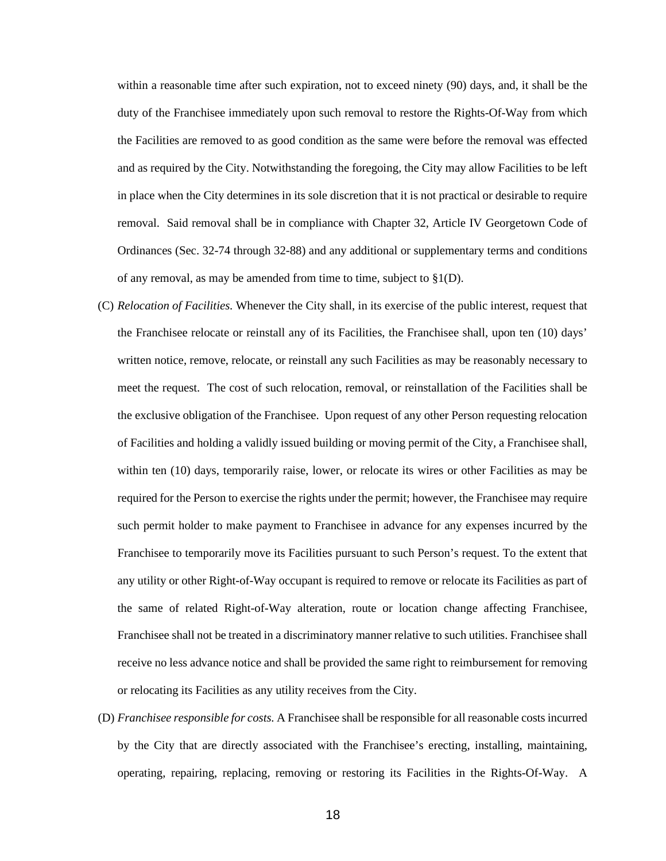within a reasonable time after such expiration, not to exceed ninety (90) days, and, it shall be the duty of the Franchisee immediately upon such removal to restore the Rights-Of-Way from which the Facilities are removed to as good condition as the same were before the removal was effected and as required by the City. Notwithstanding the foregoing, the City may allow Facilities to be left in place when the City determines in its sole discretion that it is not practical or desirable to require removal. Said removal shall be in compliance with Chapter 32, Article IV Georgetown Code of Ordinances (Sec. 32-74 through 32-88) and any additional or supplementary terms and conditions of any removal, as may be amended from time to time, subject to §1(D).

- (C) *Relocation of Facilities.* Whenever the City shall, in its exercise of the public interest, request that the Franchisee relocate or reinstall any of its Facilities, the Franchisee shall, upon ten (10) days' written notice, remove, relocate, or reinstall any such Facilities as may be reasonably necessary to meet the request. The cost of such relocation, removal, or reinstallation of the Facilities shall be the exclusive obligation of the Franchisee. Upon request of any other Person requesting relocation of Facilities and holding a validly issued building or moving permit of the City, a Franchisee shall, within ten (10) days, temporarily raise, lower, or relocate its wires or other Facilities as may be required for the Person to exercise the rights under the permit; however, the Franchisee may require such permit holder to make payment to Franchisee in advance for any expenses incurred by the Franchisee to temporarily move its Facilities pursuant to such Person's request. To the extent that any utility or other Right-of-Way occupant is required to remove or relocate its Facilities as part of the same of related Right-of-Way alteration, route or location change affecting Franchisee, Franchisee shall not be treated in a discriminatory manner relative to such utilities. Franchisee shall receive no less advance notice and shall be provided the same right to reimbursement for removing or relocating its Facilities as any utility receives from the City.
- (D) *Franchisee responsible for costs.* A Franchisee shall be responsible for all reasonable costs incurred by the City that are directly associated with the Franchisee's erecting, installing, maintaining, operating, repairing, replacing, removing or restoring its Facilities in the Rights-Of-Way. A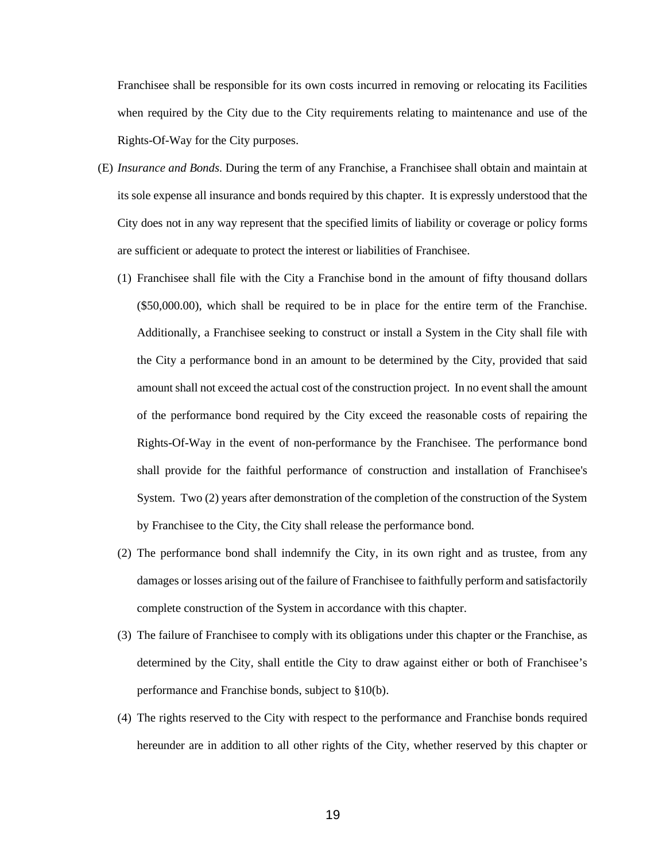Franchisee shall be responsible for its own costs incurred in removing or relocating its Facilities when required by the City due to the City requirements relating to maintenance and use of the Rights-Of-Way for the City purposes.

- (E) *Insurance and Bonds.* During the term of any Franchise, a Franchisee shall obtain and maintain at its sole expense all insurance and bonds required by this chapter. It is expressly understood that the City does not in any way represent that the specified limits of liability or coverage or policy forms are sufficient or adequate to protect the interest or liabilities of Franchisee.
	- (1) Franchisee shall file with the City a Franchise bond in the amount of fifty thousand dollars (\$50,000.00), which shall be required to be in place for the entire term of the Franchise. Additionally, a Franchisee seeking to construct or install a System in the City shall file with the City a performance bond in an amount to be determined by the City, provided that said amount shall not exceed the actual cost of the construction project. In no event shall the amount of the performance bond required by the City exceed the reasonable costs of repairing the Rights-Of-Way in the event of non-performance by the Franchisee. The performance bond shall provide for the faithful performance of construction and installation of Franchisee's System. Two (2) years after demonstration of the completion of the construction of the System by Franchisee to the City, the City shall release the performance bond.
	- (2) The performance bond shall indemnify the City, in its own right and as trustee, from any damages or losses arising out of the failure of Franchisee to faithfully perform and satisfactorily complete construction of the System in accordance with this chapter.
	- (3) The failure of Franchisee to comply with its obligations under this chapter or the Franchise, as determined by the City, shall entitle the City to draw against either or both of Franchisee's performance and Franchise bonds, subject to §10(b).
	- (4) The rights reserved to the City with respect to the performance and Franchise bonds required hereunder are in addition to all other rights of the City, whether reserved by this chapter or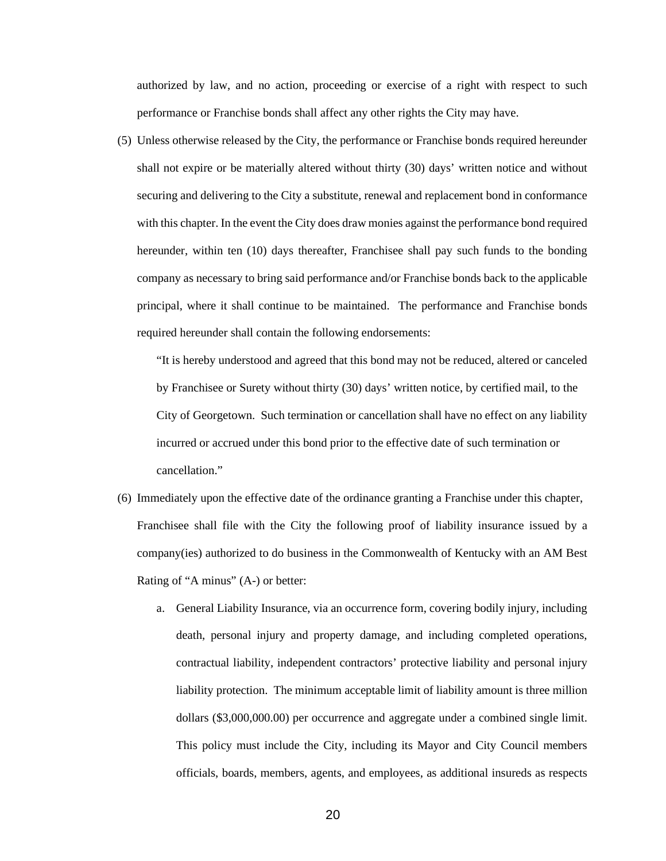authorized by law, and no action, proceeding or exercise of a right with respect to such performance or Franchise bonds shall affect any other rights the City may have.

(5) Unless otherwise released by the City, the performance or Franchise bonds required hereunder shall not expire or be materially altered without thirty (30) days' written notice and without securing and delivering to the City a substitute, renewal and replacement bond in conformance with this chapter. In the event the City does draw monies against the performance bond required hereunder, within ten (10) days thereafter, Franchisee shall pay such funds to the bonding company as necessary to bring said performance and/or Franchise bonds back to the applicable principal, where it shall continue to be maintained. The performance and Franchise bonds required hereunder shall contain the following endorsements:

"It is hereby understood and agreed that this bond may not be reduced, altered or canceled by Franchisee or Surety without thirty (30) days' written notice, by certified mail, to the City of Georgetown. Such termination or cancellation shall have no effect on any liability incurred or accrued under this bond prior to the effective date of such termination or cancellation."

- (6) Immediately upon the effective date of the ordinance granting a Franchise under this chapter, Franchisee shall file with the City the following proof of liability insurance issued by a company(ies) authorized to do business in the Commonwealth of Kentucky with an AM Best Rating of "A minus" (A-) or better:
	- a. General Liability Insurance, via an occurrence form, covering bodily injury, including death, personal injury and property damage, and including completed operations, contractual liability, independent contractors' protective liability and personal injury liability protection. The minimum acceptable limit of liability amount is three million dollars (\$3,000,000.00) per occurrence and aggregate under a combined single limit. This policy must include the City, including its Mayor and City Council members officials, boards, members, agents, and employees, as additional insureds as respects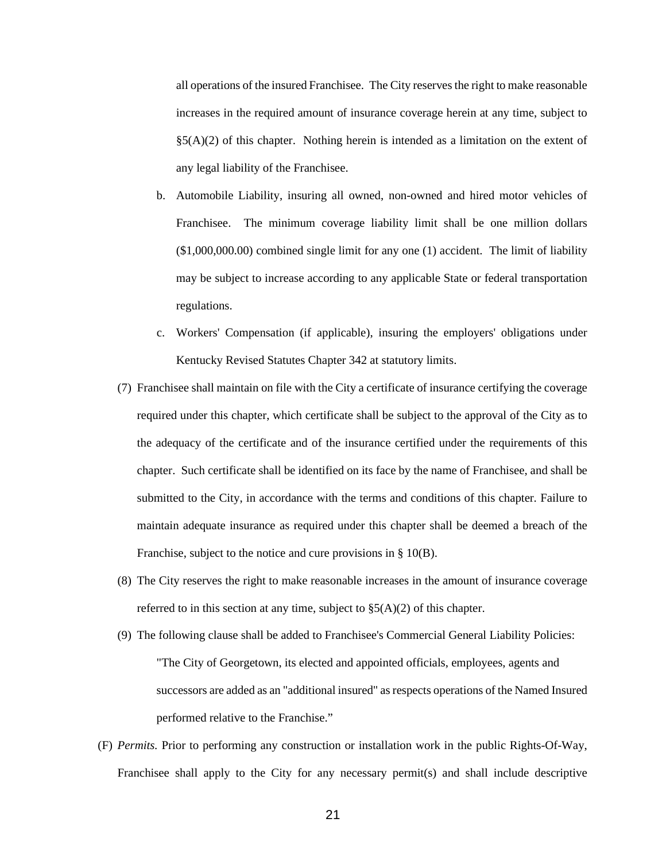all operations of the insured Franchisee. The City reserves the right to make reasonable increases in the required amount of insurance coverage herein at any time, subject to  $\S5(A)(2)$  of this chapter. Nothing herein is intended as a limitation on the extent of any legal liability of the Franchisee.

- b. Automobile Liability, insuring all owned, non-owned and hired motor vehicles of Franchisee. The minimum coverage liability limit shall be one million dollars (\$1,000,000.00) combined single limit for any one (1) accident. The limit of liability may be subject to increase according to any applicable State or federal transportation regulations.
- c. Workers' Compensation (if applicable), insuring the employers' obligations under Kentucky Revised Statutes Chapter 342 at statutory limits.
- (7) Franchisee shall maintain on file with the City a certificate of insurance certifying the coverage required under this chapter, which certificate shall be subject to the approval of the City as to the adequacy of the certificate and of the insurance certified under the requirements of this chapter. Such certificate shall be identified on its face by the name of Franchisee, and shall be submitted to the City, in accordance with the terms and conditions of this chapter. Failure to maintain adequate insurance as required under this chapter shall be deemed a breach of the Franchise, subject to the notice and cure provisions in § 10(B).
- (8) The City reserves the right to make reasonable increases in the amount of insurance coverage referred to in this section at any time, subject to  $\S5(A)(2)$  of this chapter.
- (9) The following clause shall be added to Franchisee's Commercial General Liability Policies: "The City of Georgetown, its elected and appointed officials, employees, agents and successors are added as an "additional insured" as respects operations of the Named Insured performed relative to the Franchise."
- (F) *Permits.* Prior to performing any construction or installation work in the public Rights-Of-Way, Franchisee shall apply to the City for any necessary permit(s) and shall include descriptive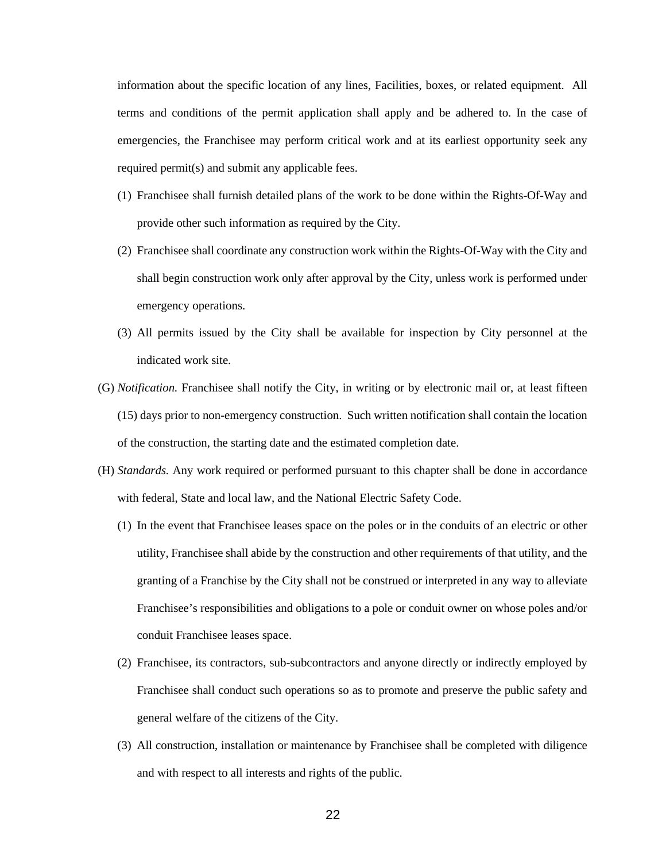information about the specific location of any lines, Facilities, boxes, or related equipment. All terms and conditions of the permit application shall apply and be adhered to. In the case of emergencies, the Franchisee may perform critical work and at its earliest opportunity seek any required permit(s) and submit any applicable fees.

- (1) Franchisee shall furnish detailed plans of the work to be done within the Rights-Of-Way and provide other such information as required by the City.
- (2) Franchisee shall coordinate any construction work within the Rights-Of-Way with the City and shall begin construction work only after approval by the City, unless work is performed under emergency operations.
- (3) All permits issued by the City shall be available for inspection by City personnel at the indicated work site.
- (G) *Notification.* Franchisee shall notify the City, in writing or by electronic mail or, at least fifteen (15) days prior to non-emergency construction. Such written notification shall contain the location of the construction, the starting date and the estimated completion date.
- (H) *Standards.* Any work required or performed pursuant to this chapter shall be done in accordance with federal, State and local law, and the National Electric Safety Code.
	- (1) In the event that Franchisee leases space on the poles or in the conduits of an electric or other utility, Franchisee shall abide by the construction and other requirements of that utility, and the granting of a Franchise by the City shall not be construed or interpreted in any way to alleviate Franchisee's responsibilities and obligations to a pole or conduit owner on whose poles and/or conduit Franchisee leases space.
	- (2) Franchisee, its contractors, sub-subcontractors and anyone directly or indirectly employed by Franchisee shall conduct such operations so as to promote and preserve the public safety and general welfare of the citizens of the City.
	- (3) All construction, installation or maintenance by Franchisee shall be completed with diligence and with respect to all interests and rights of the public.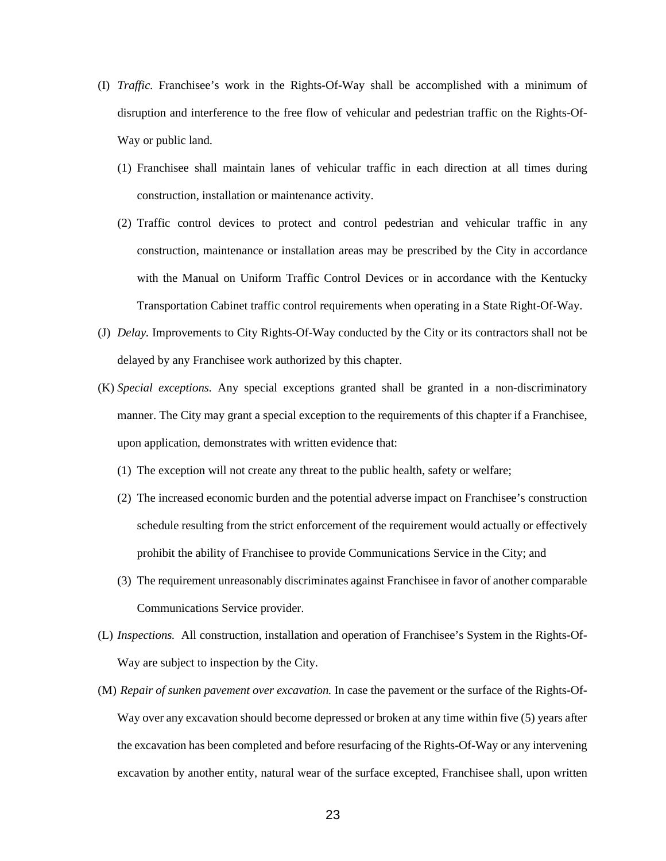- (I) *Traffic.* Franchisee's work in the Rights-Of-Way shall be accomplished with a minimum of disruption and interference to the free flow of vehicular and pedestrian traffic on the Rights-Of-Way or public land.
	- (1) Franchisee shall maintain lanes of vehicular traffic in each direction at all times during construction, installation or maintenance activity.
	- (2) Traffic control devices to protect and control pedestrian and vehicular traffic in any construction, maintenance or installation areas may be prescribed by the City in accordance with the Manual on Uniform Traffic Control Devices or in accordance with the Kentucky Transportation Cabinet traffic control requirements when operating in a State Right-Of-Way.
- (J) *Delay.* Improvements to City Rights-Of-Way conducted by the City or its contractors shall not be delayed by any Franchisee work authorized by this chapter.
- (K) *Special exceptions.* Any special exceptions granted shall be granted in a non-discriminatory manner. The City may grant a special exception to the requirements of this chapter if a Franchisee, upon application, demonstrates with written evidence that:
	- (1) The exception will not create any threat to the public health, safety or welfare;
	- (2) The increased economic burden and the potential adverse impact on Franchisee's construction schedule resulting from the strict enforcement of the requirement would actually or effectively prohibit the ability of Franchisee to provide Communications Service in the City; and
	- (3) The requirement unreasonably discriminates against Franchisee in favor of another comparable Communications Service provider.
- (L) *Inspections.* All construction, installation and operation of Franchisee's System in the Rights-Of-Way are subject to inspection by the City.
- (M) *Repair of sunken pavement over excavation.* In case the pavement or the surface of the Rights-Of-Way over any excavation should become depressed or broken at any time within five (5) years after the excavation has been completed and before resurfacing of the Rights-Of-Way or any intervening excavation by another entity, natural wear of the surface excepted, Franchisee shall, upon written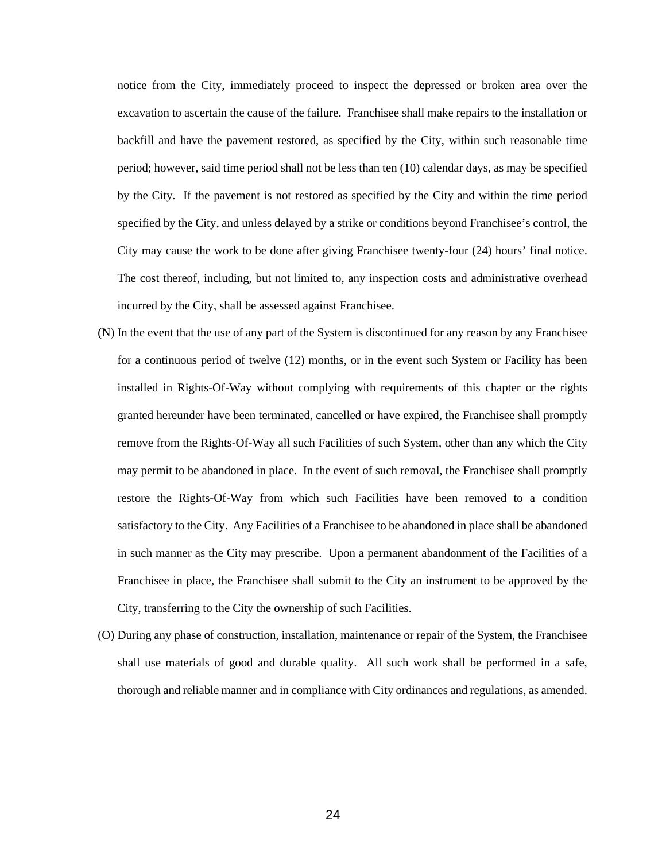notice from the City, immediately proceed to inspect the depressed or broken area over the excavation to ascertain the cause of the failure. Franchisee shall make repairs to the installation or backfill and have the pavement restored, as specified by the City, within such reasonable time period; however, said time period shall not be less than ten (10) calendar days, as may be specified by the City. If the pavement is not restored as specified by the City and within the time period specified by the City, and unless delayed by a strike or conditions beyond Franchisee's control, the City may cause the work to be done after giving Franchisee twenty-four (24) hours' final notice. The cost thereof, including, but not limited to, any inspection costs and administrative overhead incurred by the City, shall be assessed against Franchisee.

- (N) In the event that the use of any part of the System is discontinued for any reason by any Franchisee for a continuous period of twelve (12) months, or in the event such System or Facility has been installed in Rights-Of-Way without complying with requirements of this chapter or the rights granted hereunder have been terminated, cancelled or have expired, the Franchisee shall promptly remove from the Rights-Of-Way all such Facilities of such System, other than any which the City may permit to be abandoned in place. In the event of such removal, the Franchisee shall promptly restore the Rights-Of-Way from which such Facilities have been removed to a condition satisfactory to the City. Any Facilities of a Franchisee to be abandoned in place shall be abandoned in such manner as the City may prescribe. Upon a permanent abandonment of the Facilities of a Franchisee in place, the Franchisee shall submit to the City an instrument to be approved by the City, transferring to the City the ownership of such Facilities.
- (O) During any phase of construction, installation, maintenance or repair of the System, the Franchisee shall use materials of good and durable quality. All such work shall be performed in a safe, thorough and reliable manner and in compliance with City ordinances and regulations, as amended.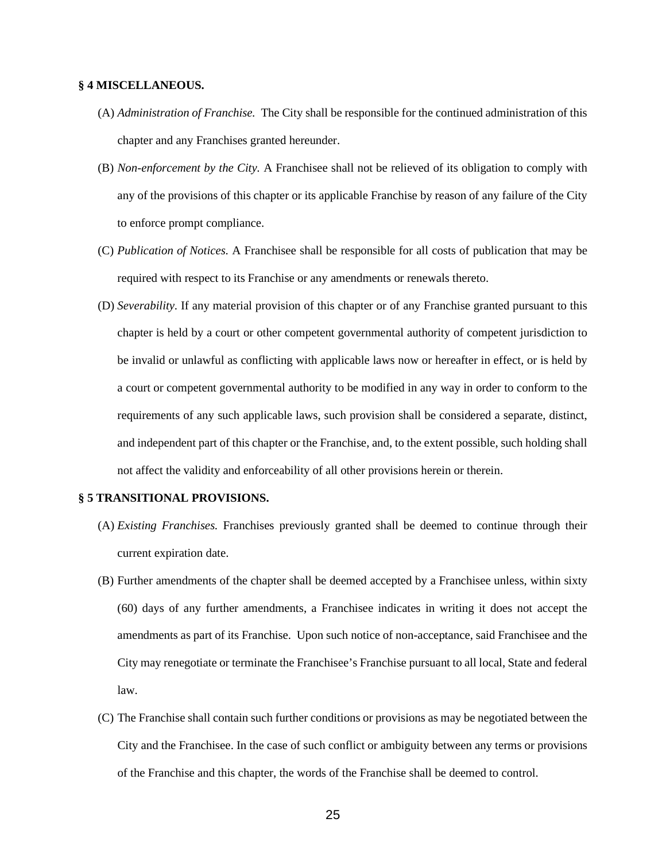#### **§ 4 MISCELLANEOUS.**

- (A) *Administration of Franchise.* The City shall be responsible for the continued administration of this chapter and any Franchises granted hereunder.
- (B) *Non-enforcement by the City.* A Franchisee shall not be relieved of its obligation to comply with any of the provisions of this chapter or its applicable Franchise by reason of any failure of the City to enforce prompt compliance.
- (C) *Publication of Notices.* A Franchisee shall be responsible for all costs of publication that may be required with respect to its Franchise or any amendments or renewals thereto.
- (D) *Severability.* If any material provision of this chapter or of any Franchise granted pursuant to this chapter is held by a court or other competent governmental authority of competent jurisdiction to be invalid or unlawful as conflicting with applicable laws now or hereafter in effect, or is held by a court or competent governmental authority to be modified in any way in order to conform to the requirements of any such applicable laws, such provision shall be considered a separate, distinct, and independent part of this chapter or the Franchise, and, to the extent possible, such holding shall not affect the validity and enforceability of all other provisions herein or therein.

#### **§ 5 TRANSITIONAL PROVISIONS.**

- (A) *Existing Franchises.* Franchises previously granted shall be deemed to continue through their current expiration date.
- (B) Further amendments of the chapter shall be deemed accepted by a Franchisee unless, within sixty (60) days of any further amendments, a Franchisee indicates in writing it does not accept the amendments as part of its Franchise. Upon such notice of non-acceptance, said Franchisee and the City may renegotiate or terminate the Franchisee's Franchise pursuant to all local, State and federal law.
- (C) The Franchise shall contain such further conditions or provisions as may be negotiated between the City and the Franchisee. In the case of such conflict or ambiguity between any terms or provisions of the Franchise and this chapter, the words of the Franchise shall be deemed to control.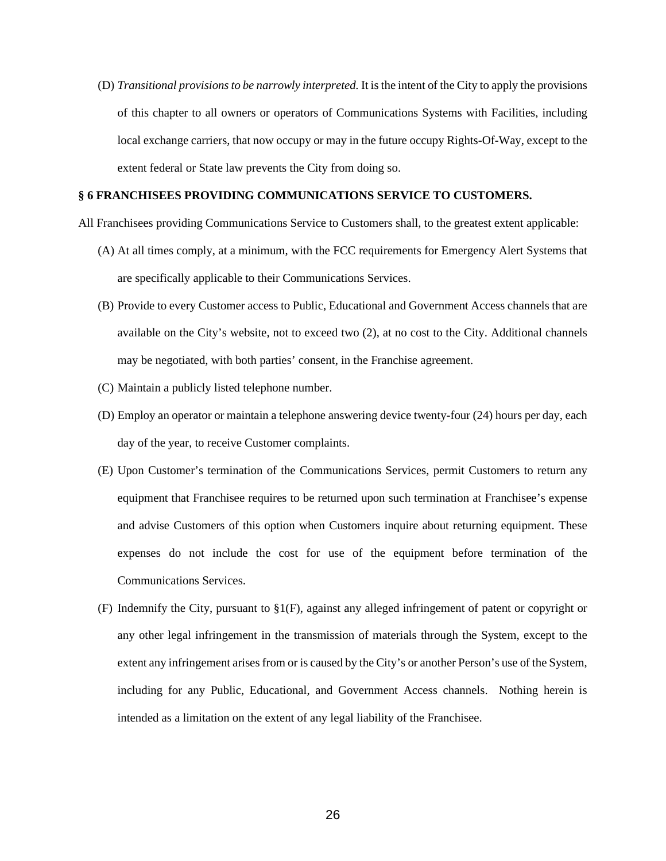(D) *Transitional provisions to be narrowly interpreted.* It is the intent of the City to apply the provisions of this chapter to all owners or operators of Communications Systems with Facilities, including local exchange carriers, that now occupy or may in the future occupy Rights-Of-Way, except to the extent federal or State law prevents the City from doing so.

#### **§ 6 FRANCHISEES PROVIDING COMMUNICATIONS SERVICE TO CUSTOMERS.**

- All Franchisees providing Communications Service to Customers shall, to the greatest extent applicable:
	- (A) At all times comply, at a minimum, with the FCC requirements for Emergency Alert Systems that are specifically applicable to their Communications Services.
	- (B) Provide to every Customer access to Public, Educational and Government Access channels that are available on the City's website, not to exceed two (2), at no cost to the City. Additional channels may be negotiated, with both parties' consent, in the Franchise agreement.
	- (C) Maintain a publicly listed telephone number.
	- (D) Employ an operator or maintain a telephone answering device twenty-four (24) hours per day, each day of the year, to receive Customer complaints.
	- (E) Upon Customer's termination of the Communications Services, permit Customers to return any equipment that Franchisee requires to be returned upon such termination at Franchisee's expense and advise Customers of this option when Customers inquire about returning equipment. These expenses do not include the cost for use of the equipment before termination of the Communications Services.
	- (F) Indemnify the City, pursuant to §1(F), against any alleged infringement of patent or copyright or any other legal infringement in the transmission of materials through the System, except to the extent any infringement arises from or is caused by the City's or another Person's use of the System, including for any Public, Educational, and Government Access channels. Nothing herein is intended as a limitation on the extent of any legal liability of the Franchisee.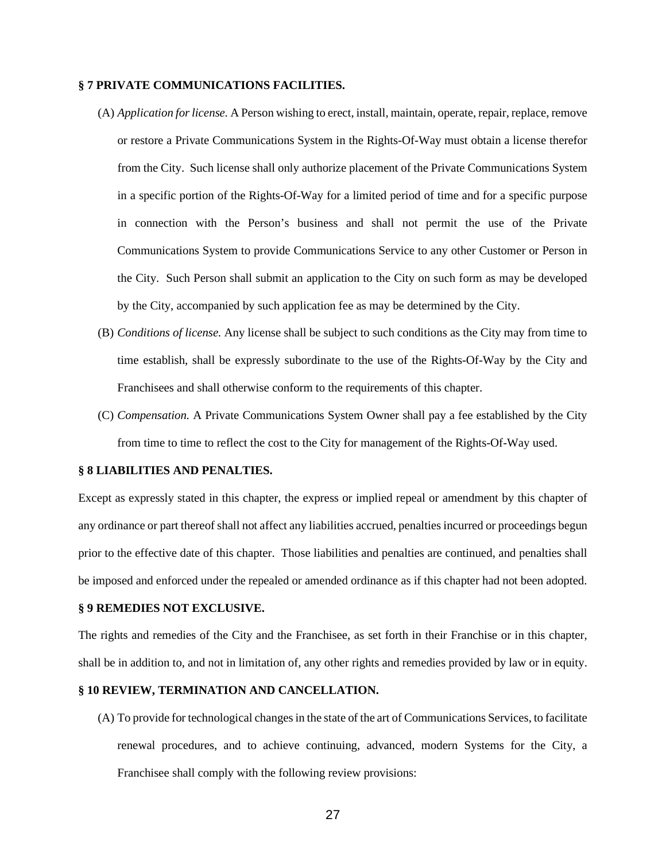#### **§ 7 PRIVATE COMMUNICATIONS FACILITIES.**

- (A) *Application for license.* A Person wishing to erect, install, maintain, operate, repair, replace, remove or restore a Private Communications System in the Rights-Of-Way must obtain a license therefor from the City. Such license shall only authorize placement of the Private Communications System in a specific portion of the Rights-Of-Way for a limited period of time and for a specific purpose in connection with the Person's business and shall not permit the use of the Private Communications System to provide Communications Service to any other Customer or Person in the City. Such Person shall submit an application to the City on such form as may be developed by the City, accompanied by such application fee as may be determined by the City.
- (B) *Conditions of license.* Any license shall be subject to such conditions as the City may from time to time establish, shall be expressly subordinate to the use of the Rights-Of-Way by the City and Franchisees and shall otherwise conform to the requirements of this chapter.
- (C) *Compensation.* A Private Communications System Owner shall pay a fee established by the City from time to time to reflect the cost to the City for management of the Rights-Of-Way used.

#### **§ 8 LIABILITIES AND PENALTIES.**

Except as expressly stated in this chapter, the express or implied repeal or amendment by this chapter of any ordinance or part thereof shall not affect any liabilities accrued, penalties incurred or proceedings begun prior to the effective date of this chapter. Those liabilities and penalties are continued, and penalties shall be imposed and enforced under the repealed or amended ordinance as if this chapter had not been adopted.

#### **§ 9 REMEDIES NOT EXCLUSIVE.**

The rights and remedies of the City and the Franchisee, as set forth in their Franchise or in this chapter, shall be in addition to, and not in limitation of, any other rights and remedies provided by law or in equity.

## **§ 10 REVIEW, TERMINATION AND CANCELLATION.**

(A) To provide for technological changes in the state of the art of Communications Services, to facilitate renewal procedures, and to achieve continuing, advanced, modern Systems for the City, a Franchisee shall comply with the following review provisions: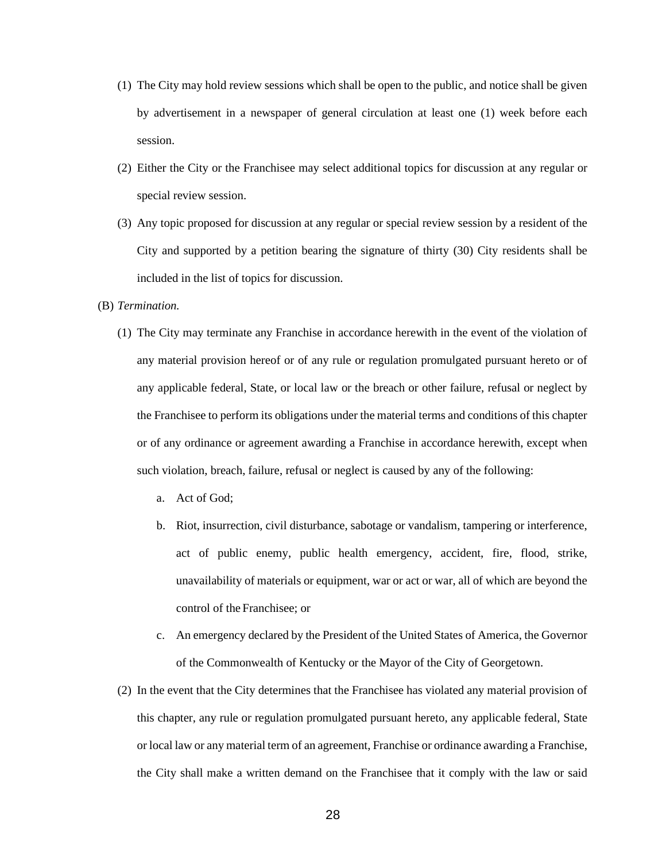- (1) The City may hold review sessions which shall be open to the public, and notice shall be given by advertisement in a newspaper of general circulation at least one (1) week before each session.
- (2) Either the City or the Franchisee may select additional topics for discussion at any regular or special review session.
- (3) Any topic proposed for discussion at any regular or special review session by a resident of the City and supported by a petition bearing the signature of thirty (30) City residents shall be included in the list of topics for discussion.

## (B) *Termination.*

- (1) The City may terminate any Franchise in accordance herewith in the event of the violation of any material provision hereof or of any rule or regulation promulgated pursuant hereto or of any applicable federal, State, or local law or the breach or other failure, refusal or neglect by the Franchisee to perform its obligations under the material terms and conditions of this chapter or of any ordinance or agreement awarding a Franchise in accordance herewith, except when such violation, breach, failure, refusal or neglect is caused by any of the following:
	- a. Act of God;
	- b. Riot, insurrection, civil disturbance, sabotage or vandalism, tampering or interference, act of public enemy, public health emergency, accident, fire, flood, strike, unavailability of materials or equipment, war or act or war, all of which are beyond the control of the Franchisee; or
	- c. An emergency declared by the President of the United States of America, the Governor of the Commonwealth of Kentucky or the Mayor of the City of Georgetown.
- (2) In the event that the City determines that the Franchisee has violated any material provision of this chapter, any rule or regulation promulgated pursuant hereto, any applicable federal, State or local law or any material term of an agreement, Franchise or ordinance awarding a Franchise, the City shall make a written demand on the Franchisee that it comply with the law or said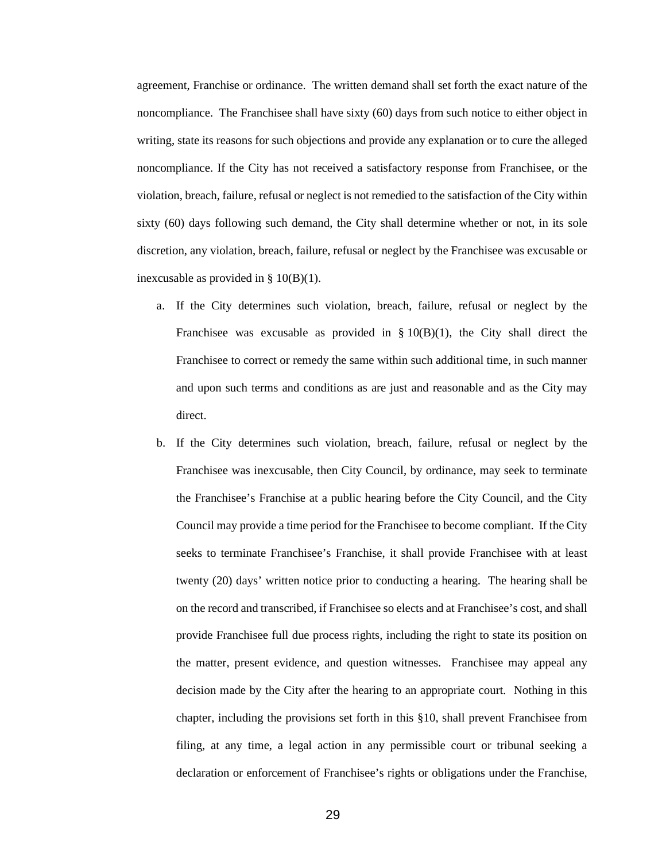agreement, Franchise or ordinance. The written demand shall set forth the exact nature of the noncompliance. The Franchisee shall have sixty (60) days from such notice to either object in writing, state its reasons for such objections and provide any explanation or to cure the alleged noncompliance. If the City has not received a satisfactory response from Franchisee, or the violation, breach, failure, refusal or neglect is not remedied to the satisfaction of the City within sixty (60) days following such demand, the City shall determine whether or not, in its sole discretion, any violation, breach, failure, refusal or neglect by the Franchisee was excusable or inexcusable as provided in § 10(B)(1).

- a. If the City determines such violation, breach, failure, refusal or neglect by the Franchisee was excusable as provided in  $\S 10(B)(1)$ , the City shall direct the Franchisee to correct or remedy the same within such additional time, in such manner and upon such terms and conditions as are just and reasonable and as the City may direct.
- b. If the City determines such violation, breach, failure, refusal or neglect by the Franchisee was inexcusable, then City Council, by ordinance, may seek to terminate the Franchisee's Franchise at a public hearing before the City Council, and the City Council may provide a time period for the Franchisee to become compliant. If the City seeks to terminate Franchisee's Franchise, it shall provide Franchisee with at least twenty (20) days' written notice prior to conducting a hearing. The hearing shall be on the record and transcribed, if Franchisee so elects and at Franchisee's cost, and shall provide Franchisee full due process rights, including the right to state its position on the matter, present evidence, and question witnesses. Franchisee may appeal any decision made by the City after the hearing to an appropriate court*.* Nothing in this chapter, including the provisions set forth in this §10, shall prevent Franchisee from filing, at any time, a legal action in any permissible court or tribunal seeking a declaration or enforcement of Franchisee's rights or obligations under the Franchise,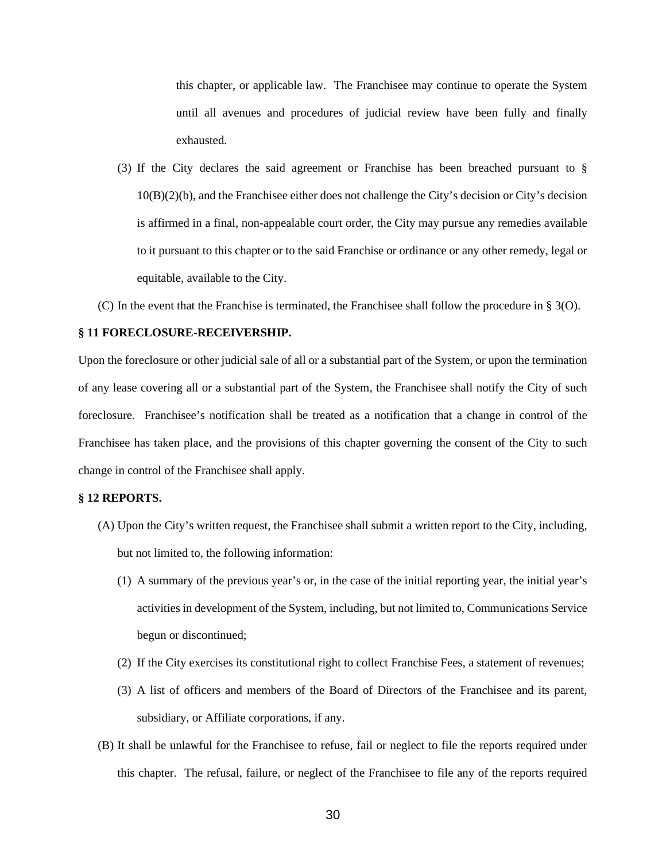this chapter, or applicable law. The Franchisee may continue to operate the System until all avenues and procedures of judicial review have been fully and finally exhausted.

- (3) If the City declares the said agreement or Franchise has been breached pursuant to § 10(B)(2)(b), and the Franchisee either does not challenge the City's decision or City's decision is affirmed in a final, non-appealable court order, the City may pursue any remedies available to it pursuant to this chapter or to the said Franchise or ordinance or any other remedy, legal or equitable, available to the City.
- (C) In the event that the Franchise is terminated, the Franchisee shall follow the procedure in § 3(O).

#### **§ 11 FORECLOSURE-RECEIVERSHIP.**

Upon the foreclosure or other judicial sale of all or a substantial part of the System, or upon the termination of any lease covering all or a substantial part of the System, the Franchisee shall notify the City of such foreclosure. Franchisee's notification shall be treated as a notification that a change in control of the Franchisee has taken place, and the provisions of this chapter governing the consent of the City to such change in control of the Franchisee shall apply.

## **§ 12 REPORTS.**

- (A) Upon the City's written request, the Franchisee shall submit a written report to the City, including, but not limited to, the following information:
	- (1) A summary of the previous year's or, in the case of the initial reporting year, the initial year's activities in development of the System, including, but not limited to, Communications Service begun or discontinued;
	- (2) If the City exercises its constitutional right to collect Franchise Fees, a statement of revenues;
	- (3) A list of officers and members of the Board of Directors of the Franchisee and its parent, subsidiary, or Affiliate corporations, if any.
- (B) It shall be unlawful for the Franchisee to refuse, fail or neglect to file the reports required under this chapter. The refusal, failure, or neglect of the Franchisee to file any of the reports required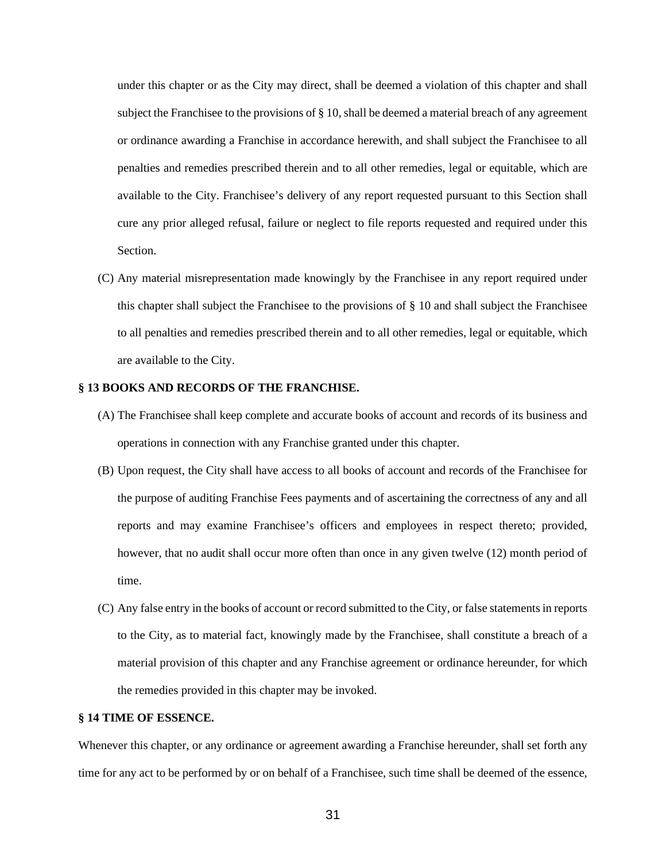under this chapter or as the City may direct, shall be deemed a violation of this chapter and shall subject the Franchisee to the provisions of § 10, shall be deemed a material breach of any agreement or ordinance awarding a Franchise in accordance herewith, and shall subject the Franchisee to all penalties and remedies prescribed therein and to all other remedies, legal or equitable, which are available to the City. Franchisee's delivery of any report requested pursuant to this Section shall cure any prior alleged refusal, failure or neglect to file reports requested and required under this Section.

(C) Any material misrepresentation made knowingly by the Franchisee in any report required under this chapter shall subject the Franchisee to the provisions of § 10 and shall subject the Franchisee to all penalties and remedies prescribed therein and to all other remedies, legal or equitable, which are available to the City.

## **§ 13 BOOKS AND RECORDS OF THE FRANCHISE.**

- (A) The Franchisee shall keep complete and accurate books of account and records of its business and operations in connection with any Franchise granted under this chapter.
- (B) Upon request, the City shall have access to all books of account and records of the Franchisee for the purpose of auditing Franchise Fees payments and of ascertaining the correctness of any and all reports and may examine Franchisee's officers and employees in respect thereto; provided, however, that no audit shall occur more often than once in any given twelve (12) month period of time.
- (C) Any false entry in the books of account or record submitted to the City, or false statements in reports to the City, as to material fact, knowingly made by the Franchisee, shall constitute a breach of a material provision of this chapter and any Franchise agreement or ordinance hereunder, for which the remedies provided in this chapter may be invoked.

#### **§ 14 TIME OF ESSENCE.**

Whenever this chapter, or any ordinance or agreement awarding a Franchise hereunder, shall set forth any time for any act to be performed by or on behalf of a Franchisee, such time shall be deemed of the essence,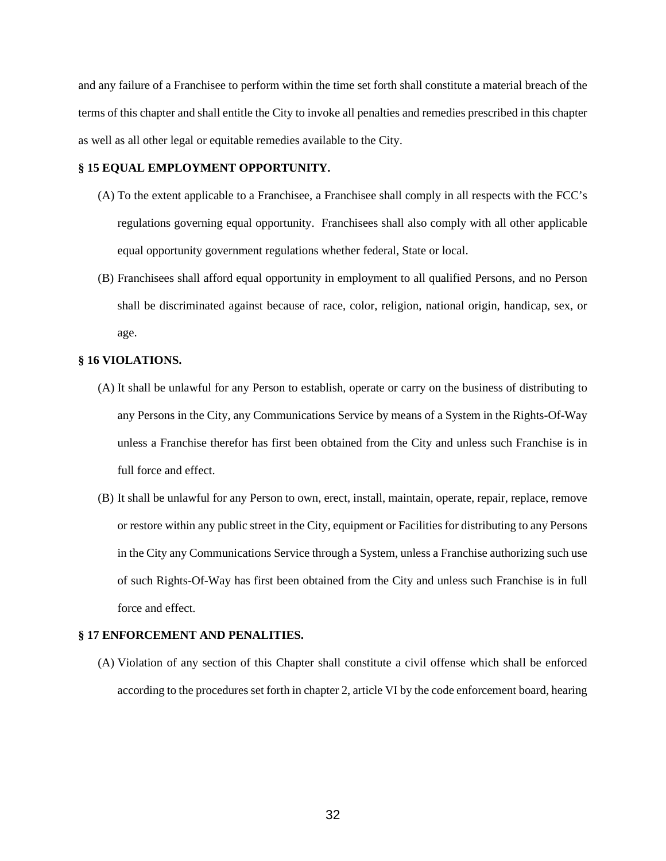and any failure of a Franchisee to perform within the time set forth shall constitute a material breach of the terms of this chapter and shall entitle the City to invoke all penalties and remedies prescribed in this chapter as well as all other legal or equitable remedies available to the City.

## **§ 15 EQUAL EMPLOYMENT OPPORTUNITY.**

- (A) To the extent applicable to a Franchisee, a Franchisee shall comply in all respects with the FCC's regulations governing equal opportunity. Franchisees shall also comply with all other applicable equal opportunity government regulations whether federal, State or local.
- (B) Franchisees shall afford equal opportunity in employment to all qualified Persons, and no Person shall be discriminated against because of race, color, religion, national origin, handicap, sex, or age.

## **§ 16 VIOLATIONS.**

- (A) It shall be unlawful for any Person to establish, operate or carry on the business of distributing to any Persons in the City, any Communications Service by means of a System in the Rights-Of-Way unless a Franchise therefor has first been obtained from the City and unless such Franchise is in full force and effect.
- (B) It shall be unlawful for any Person to own, erect, install, maintain, operate, repair, replace, remove or restore within any public street in the City, equipment or Facilities for distributing to any Persons in the City any Communications Service through a System, unless a Franchise authorizing such use of such Rights-Of-Way has first been obtained from the City and unless such Franchise is in full force and effect.

## **§ 17 ENFORCEMENT AND PENALITIES.**

(A) Violation of any section of this Chapter shall constitute a civil offense which shall be enforced according to the procedures set forth in chapter 2, article VI by the code enforcement board, hearing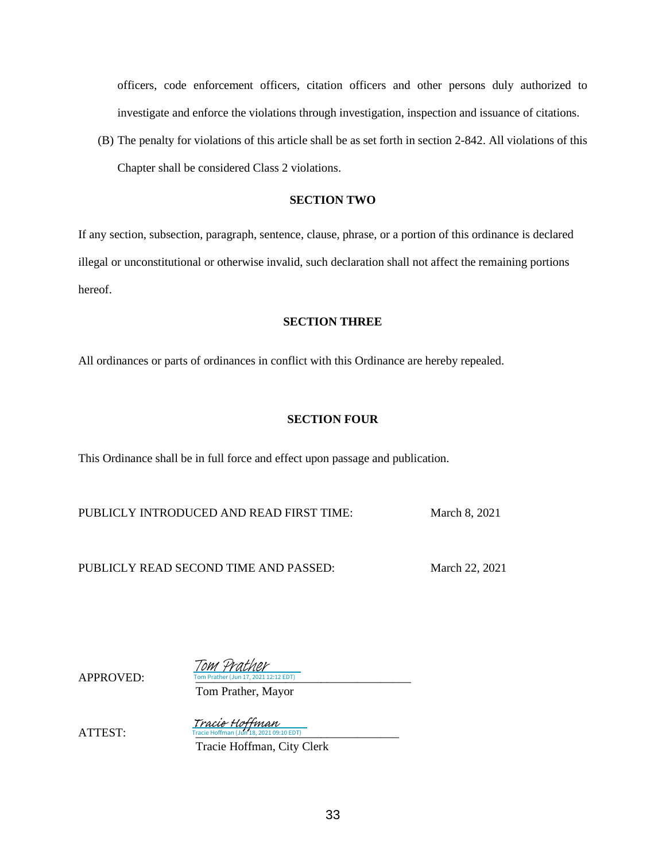officers, code enforcement officers, citation officers and other persons duly authorized to investigate and enforce the violations through investigation, inspection and issuance of citations.

(B) The penalty for violations of this article shall be as set forth in section 2-842. All violations of this Chapter shall be considered Class 2 violations.

## **SECTION TWO**

If any section, subsection, paragraph, sentence, clause, phrase, or a portion of this ordinance is declared illegal or unconstitutional or otherwise invalid, such declaration shall not affect the remaining portions hereof.

## **SECTION THREE**

All ordinances or parts of ordinances in conflict with this Ordinance are hereby repealed.

## **SECTION FOUR**

This Ordinance shall be in full force and effect upon passage and publication.

PUBLICLY INTRODUCED AND READ FIRST TIME: March 8, 2021

PUBLICLY READ SECOND TIME AND PASSED: March 22, 2021

APPROVED:

 $T<sub>12</sub>$  FDT) Tom Prather

Tom Prather, Mayor

Tracie Hoffman

 $ATTEST$ 

Tracie Hoffman (Jun 18, 2021 09:10 EDT)

Tracie Hoffman, City Clerk